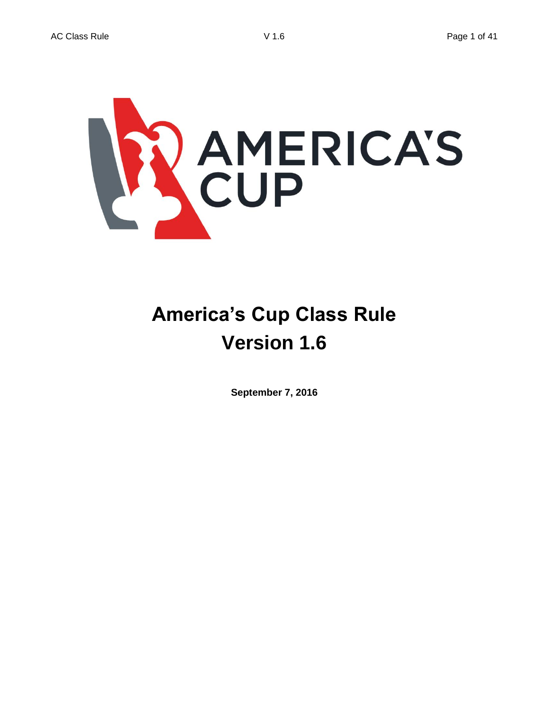

# **America's Cup Class Rule Version 1.6**

**September 7, 2016**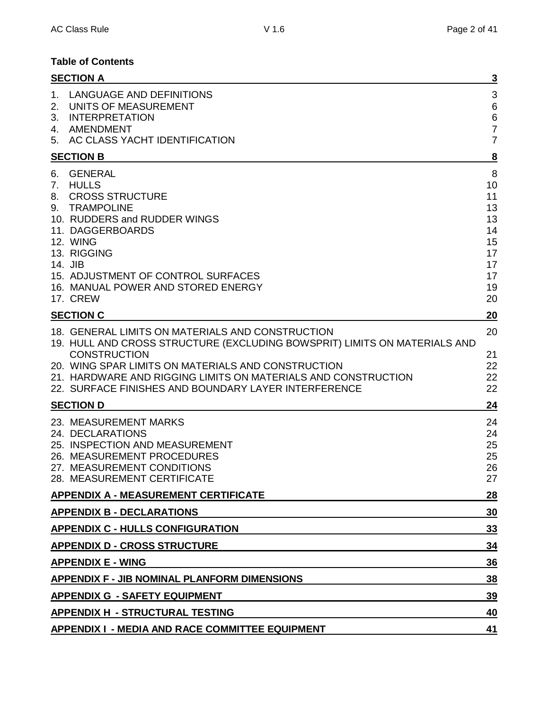## **Table of Contents**

| <b>SECTION A</b>                                                                                                                                                                                                                                                              |                                                                                                                                                                                                                                                                                                              | $\overline{3}$                                                      |
|-------------------------------------------------------------------------------------------------------------------------------------------------------------------------------------------------------------------------------------------------------------------------------|--------------------------------------------------------------------------------------------------------------------------------------------------------------------------------------------------------------------------------------------------------------------------------------------------------------|---------------------------------------------------------------------|
| LANGUAGE AND DEFINITIONS<br>1.<br>UNITS OF MEASUREMENT<br>2.<br><b>INTERPRETATION</b><br>3.<br>4. AMENDMENT<br>5. AC CLASS YACHT IDENTIFICATION                                                                                                                               |                                                                                                                                                                                                                                                                                                              | 3<br>$6\phantom{1}6$<br>$\,6$<br>$\overline{7}$<br>$\overline{7}$   |
| <b>SECTION B</b>                                                                                                                                                                                                                                                              |                                                                                                                                                                                                                                                                                                              | $\overline{\mathbf{8}}$                                             |
| <b>GENERAL</b><br>6.<br><b>HULLS</b><br>7.<br><b>CROSS STRUCTURE</b><br>8.<br>9. TRAMPOLINE<br>10. RUDDERS and RUDDER WINGS<br>11. DAGGERBOARDS<br>12. WING<br>13. RIGGING<br>14. JIB<br>15. ADJUSTMENT OF CONTROL SURFACES<br>16. MANUAL POWER AND STORED ENERGY<br>17. CREW |                                                                                                                                                                                                                                                                                                              | 8<br>10<br>11<br>13<br>13<br>14<br>15<br>17<br>17<br>17<br>19<br>20 |
| <b>SECTION C</b>                                                                                                                                                                                                                                                              |                                                                                                                                                                                                                                                                                                              | 20                                                                  |
| <b>CONSTRUCTION</b>                                                                                                                                                                                                                                                           | 18. GENERAL LIMITS ON MATERIALS AND CONSTRUCTION<br>19. HULL AND CROSS STRUCTURE (EXCLUDING BOWSPRIT) LIMITS ON MATERIALS AND<br>20. WING SPAR LIMITS ON MATERIALS AND CONSTRUCTION<br>21. HARDWARE AND RIGGING LIMITS ON MATERIALS AND CONSTRUCTION<br>22. SURFACE FINISHES AND BOUNDARY LAYER INTERFERENCE | 20<br>21<br>22<br>22<br>22                                          |
| <b>SECTION D</b>                                                                                                                                                                                                                                                              |                                                                                                                                                                                                                                                                                                              | 24                                                                  |
| 23. MEASUREMENT MARKS<br>24. DECLARATIONS<br>25. INSPECTION AND MEASUREMENT<br>26. MEASUREMENT PROCEDURES<br>27. MEASUREMENT CONDITIONS<br>28. MEASUREMENT CERTIFICATE                                                                                                        |                                                                                                                                                                                                                                                                                                              | 24<br>24<br>25<br>25<br>26<br>27                                    |
| <b>APPENDIX A - MEASUREMENT CERTIFICATE</b>                                                                                                                                                                                                                                   |                                                                                                                                                                                                                                                                                                              | 28                                                                  |
| <b>APPENDIX B - DECLARATIONS</b>                                                                                                                                                                                                                                              |                                                                                                                                                                                                                                                                                                              | 30                                                                  |
| <b>APPENDIX C - HULLS CONFIGURATION</b>                                                                                                                                                                                                                                       |                                                                                                                                                                                                                                                                                                              | <u>33</u>                                                           |
| <b>APPENDIX D - CROSS STRUCTURE</b>                                                                                                                                                                                                                                           |                                                                                                                                                                                                                                                                                                              | 34                                                                  |
| <b>APPENDIX E - WING</b>                                                                                                                                                                                                                                                      |                                                                                                                                                                                                                                                                                                              | 36                                                                  |
| <b>APPENDIX F - JIB NOMINAL PLANFORM DIMENSIONS</b>                                                                                                                                                                                                                           |                                                                                                                                                                                                                                                                                                              | 38                                                                  |
| <b>APPENDIX G - SAFETY EQUIPMENT</b>                                                                                                                                                                                                                                          |                                                                                                                                                                                                                                                                                                              | <u>39</u>                                                           |
| <b>APPENDIX H - STRUCTURAL TESTING</b>                                                                                                                                                                                                                                        |                                                                                                                                                                                                                                                                                                              | 40                                                                  |
|                                                                                                                                                                                                                                                                               | <b>APPENDIX I - MEDIA AND RACE COMMITTEE EQUIPMENT</b>                                                                                                                                                                                                                                                       | 41                                                                  |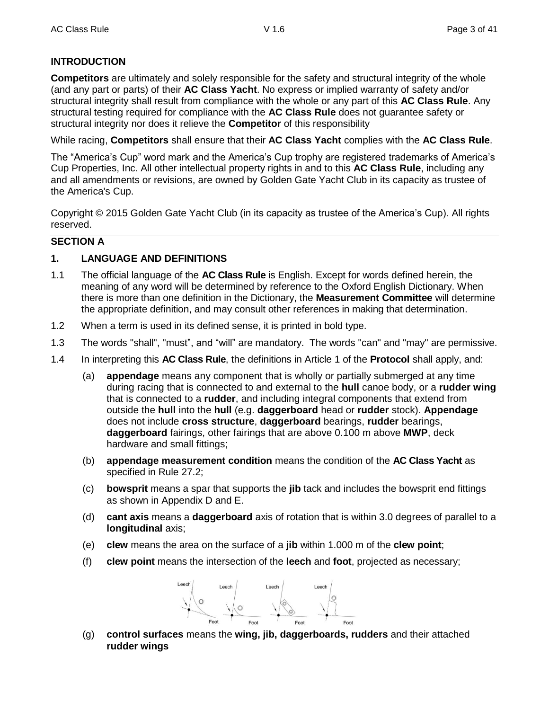## **INTRODUCTION**

**Competitors** are ultimately and solely responsible for the safety and structural integrity of the whole (and any part or parts) of their **AC Class Yacht**. No express or implied warranty of safety and/or structural integrity shall result from compliance with the whole or any part of this **AC Class Rule**. Any structural testing required for compliance with the **AC Class Rule** does not guarantee safety or structural integrity nor does it relieve the **Competitor** of this responsibility

While racing, **Competitors** shall ensure that their **AC Class Yacht** complies with the **AC Class Rule**.

The "America's Cup" word mark and the America's Cup trophy are registered trademarks of America's Cup Properties, Inc. All other intellectual property rights in and to this **AC Class Rule**, including any and all amendments or revisions, are owned by Golden Gate Yacht Club in its capacity as trustee of the America's Cup.

Copyright © 2015 Golden Gate Yacht Club (in its capacity as trustee of the America's Cup). All rights reserved.

## **SECTION A**

## **1. LANGUAGE AND DEFINITIONS**

- 1.1 The official language of the **AC Class Rule** is English. Except for words defined herein, the meaning of any word will be determined by reference to the Oxford English Dictionary. When there is more than one definition in the Dictionary, the **Measurement Committee** will determine the appropriate definition, and may consult other references in making that determination.
- 1.2 When a term is used in its defined sense, it is printed in bold type.
- 1.3 The words "shall", "must", and "will" are mandatory. The words "can" and "may" are permissive.
- 1.4 In interpreting this **AC Class Rule**, the definitions in Article 1 of the **Protocol** shall apply, and:
	- (a) **appendage** means any component that is wholly or partially submerged at any time during racing that is connected to and external to the **hull** canoe body, or a **rudder wing** that is connected to a **rudder**, and including integral components that extend from outside the **hull** into the **hull** (e.g. **daggerboard** head or **rudder** stock). **Appendage** does not include **cross structure**, **daggerboard** bearings, **rudder** bearings, **daggerboard** fairings, other fairings that are above 0.100 m above **MWP**, deck hardware and small fittings;
	- (b) **appendage measurement condition** means the condition of the **AC Class Yacht** as specified in Rule 27.2;
	- (c) **bowsprit** means a spar that supports the **jib** tack and includes the bowsprit end fittings as shown in Appendix D and E.
	- (d) **cant axis** means a **daggerboard** axis of rotation that is within 3.0 degrees of parallel to a **longitudinal** axis;
	- (e) **clew** means the area on the surface of a **jib** within 1.000 m of the **clew point**;
	- (f) **clew point** means the intersection of the **leech** and **foot**, projected as necessary;



(g) **control surfaces** means the **wing, jib, daggerboards, rudders** and their attached **rudder wings**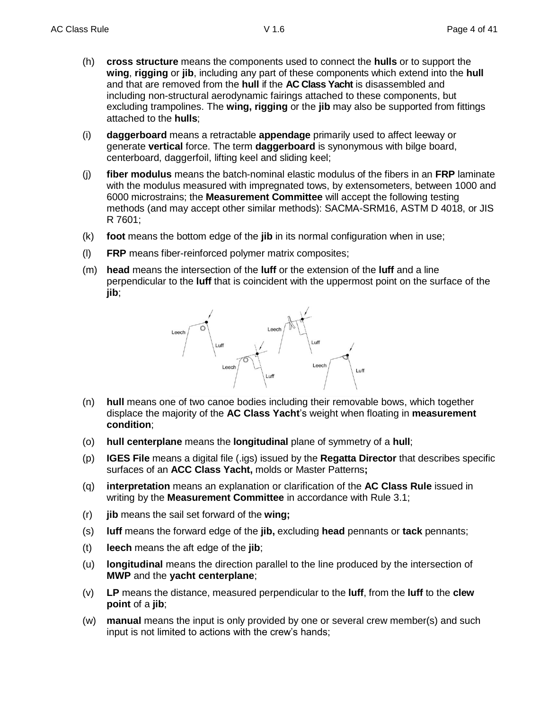- (h) **cross structure** means the components used to connect the **hulls** or to support the **wing**, **rigging** or **jib**, including any part of these components which extend into the **hull** and that are removed from the **hull** if the **AC Class Yacht** is disassembled and including non-structural aerodynamic fairings attached to these components, but excluding trampolines. The **wing, rigging** or the **jib** may also be supported from fittings attached to the **hulls**;
- (i) **daggerboard** means a retractable **appendage** primarily used to affect leeway or generate **vertical** force. The term **daggerboard** is synonymous with bilge board, centerboard, daggerfoil, lifting keel and sliding keel;
- (j) **fiber modulus** means the batch-nominal elastic modulus of the fibers in an **FRP** laminate with the modulus measured with impregnated tows, by extensometers, between 1000 and 6000 microstrains; the **Measurement Committee** will accept the following testing methods (and may accept other similar methods): SACMA-SRM16, ASTM D 4018, or JIS R 7601;
- (k) **foot** means the bottom edge of the **jib** in its normal configuration when in use;
- (l) **FRP** means fiber-reinforced polymer matrix composites;
- (m) **head** means the intersection of the **luff** or the extension of the **luff** and a line perpendicular to the **luff** that is coincident with the uppermost point on the surface of the **jib**;



- (n) **hull** means one of two canoe bodies including their removable bows, which together displace the majority of the **AC Class Yacht**'s weight when floating in **measurement condition**;
- (o) **hull centerplane** means the **longitudinal** plane of symmetry of a **hull**;
- (p) **IGES File** means a digital file (.igs) issued by the **Regatta Director** that describes specific surfaces of an **ACC Class Yacht,** molds or Master Patterns**;**
- (q) **interpretation** means an explanation or clarification of the **AC Class Rule** issued in writing by the **Measurement Committee** in accordance with Rule 3.1;
- (r) **jib** means the sail set forward of the **wing;**
- (s) **luff** means the forward edge of the **jib,** excluding **head** pennants or **tack** pennants;
- (t) **leech** means the aft edge of the **jib**;
- (u) **longitudinal** means the direction parallel to the line produced by the intersection of **MWP** and the **yacht centerplane**;
- (v) **LP** means the distance, measured perpendicular to the **luff**, from the **luff** to the **clew point** of a **jib**;
- (w) **manual** means the input is only provided by one or several crew member(s) and such input is not limited to actions with the crew's hands;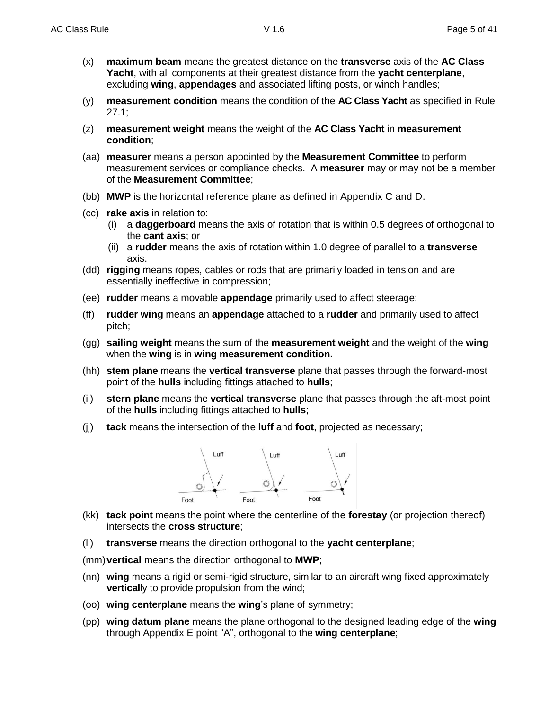- (x) **maximum beam** means the greatest distance on the **transverse** axis of the **AC Class Yacht**, with all components at their greatest distance from the **yacht centerplane**, excluding **wing**, **appendages** and associated lifting posts, or winch handles;
- (y) **measurement condition** means the condition of the **AC Class Yacht** as specified in Rule 27.1;
- (z) **measurement weight** means the weight of the **AC Class Yacht** in **measurement condition**;
- (aa) **measurer** means a person appointed by the **Measurement Committee** to perform measurement services or compliance checks. A **measurer** may or may not be a member of the **Measurement Committee**;
- (bb) **MWP** is the horizontal reference plane as defined in Appendix C and D.
- (cc) **rake axis** in relation to:
	- (i) a **daggerboard** means the axis of rotation that is within 0.5 degrees of orthogonal to the **cant axis**; or
	- (ii) a **rudder** means the axis of rotation within 1.0 degree of parallel to a **transverse** axis.
- (dd) **rigging** means ropes, cables or rods that are primarily loaded in tension and are essentially ineffective in compression;
- (ee) **rudder** means a movable **appendage** primarily used to affect steerage;
- (ff) **rudder wing** means an **appendage** attached to a **rudder** and primarily used to affect pitch;
- (gg) **sailing weight** means the sum of the **measurement weight** and the weight of the **wing** when the **wing** is in **wing measurement condition.**
- (hh) **stem plane** means the **vertical transverse** plane that passes through the forward-most point of the **hulls** including fittings attached to **hulls**;
- (ii) **stern plane** means the **vertical transverse** plane that passes through the aft-most point of the **hulls** including fittings attached to **hulls**;
- (jj) **tack** means the intersection of the **luff** and **foot**, projected as necessary;



- (kk) **tack point** means the point where the centerline of the **forestay** (or projection thereof) intersects the **cross structure**;
- (ll) **transverse** means the direction orthogonal to the **yacht centerplane**;
- (mm)**vertical** means the direction orthogonal to **MWP**;
- (nn) **wing** means a rigid or semi-rigid structure, similar to an aircraft wing fixed approximately **vertical**ly to provide propulsion from the wind;
- (oo) **wing centerplane** means the **wing**'s plane of symmetry;
- (pp) **wing datum plane** means the plane orthogonal to the designed leading edge of the **wing** through Appendix E point "A", orthogonal to the **wing centerplane**;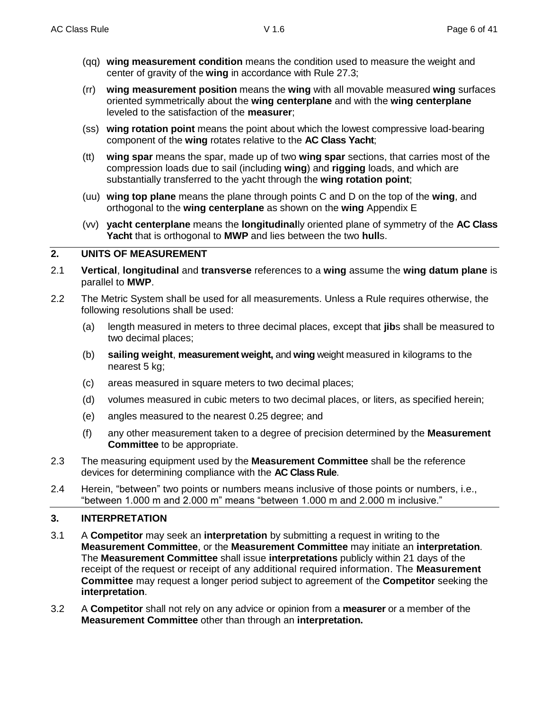- (qq) **wing measurement condition** means the condition used to measure the weight and center of gravity of the **wing** in accordance with Rule 27.3;
- (rr) **wing measurement position** means the **wing** with all movable measured **wing** surfaces oriented symmetrically about the **wing centerplane** and with the **wing centerplane** leveled to the satisfaction of the **measurer**;
- (ss) **wing rotation point** means the point about which the lowest compressive load-bearing component of the **wing** rotates relative to the **AC Class Yacht**;
- (tt) **wing spar** means the spar, made up of two **wing spar** sections, that carries most of the compression loads due to sail (including **wing**) and **rigging** loads, and which are substantially transferred to the yacht through the **wing rotation point**;
- (uu) **wing top plane** means the plane through points C and D on the top of the **wing**, and orthogonal to the **wing centerplane** as shown on the **wing** Appendix E
- (vv) **yacht centerplane** means the **longitudinal**ly oriented plane of symmetry of the **AC Class Yacht** that is orthogonal to **MWP** and lies between the two **hull**s.

## **2. UNITS OF MEASUREMENT**

- 2.1 **Vertical**, **longitudinal** and **transverse** references to a **wing** assume the **wing datum plane** is parallel to **MWP**.
- 2.2 The Metric System shall be used for all measurements. Unless a Rule requires otherwise, the following resolutions shall be used:
	- (a) length measured in meters to three decimal places, except that **jib**s shall be measured to two decimal places;
	- (b) **sailing weight**, **measurement weight,** and **wing** weight measured in kilograms to the nearest 5 kg;
	- (c) areas measured in square meters to two decimal places;
	- (d) volumes measured in cubic meters to two decimal places, or liters, as specified herein;
	- (e) angles measured to the nearest 0.25 degree; and
	- (f) any other measurement taken to a degree of precision determined by the **Measurement Committee** to be appropriate.
- 2.3 The measuring equipment used by the **Measurement Committee** shall be the reference devices for determining compliance with the **AC Class Rule**.
- 2.4 Herein, "between" two points or numbers means inclusive of those points or numbers, i.e., "between 1.000 m and 2.000 m" means "between 1.000 m and 2.000 m inclusive."

## **3. INTERPRETATION**

- 3.1 A **Competitor** may seek an **interpretation** by submitting a request in writing to the **Measurement Committee**, or the **Measurement Committee** may initiate an **interpretation**. The **Measurement Committee** shall issue **interpretations** publicly within 21 days of the receipt of the request or receipt of any additional required information. The **Measurement Committee** may request a longer period subject to agreement of the **Competitor** seeking the **interpretation**.
- 3.2 A **Competitor** shall not rely on any advice or opinion from a **measurer** or a member of the **Measurement Committee** other than through an **interpretation.**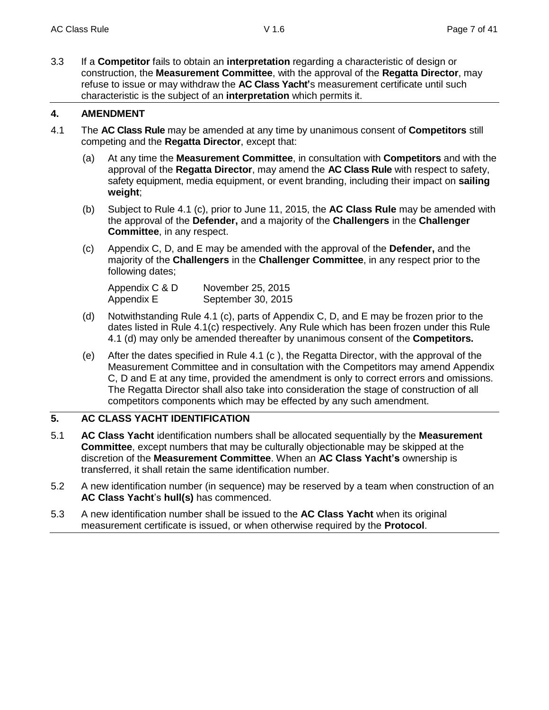3.3 If a **Competitor** fails to obtain an **interpretation** regarding a characteristic of design or construction, the **Measurement Committee**, with the approval of the **Regatta Director**, may refuse to issue or may withdraw the **AC Class Yacht'**s measurement certificate until such characteristic is the subject of an **interpretation** which permits it.

## **4. AMENDMENT**

- 4.1 The **AC Class Rule** may be amended at any time by unanimous consent of **Competitors** still competing and the **Regatta Director**, except that:
	- (a) At any time the **Measurement Committee**, in consultation with **Competitors** and with the approval of the **Regatta Director**, may amend the **AC Class Rule** with respect to safety, safety equipment, media equipment, or event branding, including their impact on **sailing weight**;
	- (b) Subject to Rule 4.1 (c), prior to June 11, 2015, the **AC Class Rule** may be amended with the approval of the **Defender,** and a majority of the **Challengers** in the **Challenger Committee**, in any respect.
	- (c) Appendix C, D, and E may be amended with the approval of the **Defender,** and the majority of the **Challengers** in the **Challenger Committee**, in any respect prior to the following dates;

| Appendix C & D | November 25, 2015  |
|----------------|--------------------|
| Appendix E     | September 30, 2015 |

- (d) Notwithstanding Rule 4.1 (c), parts of Appendix C, D, and E may be frozen prior to the dates listed in Rule 4.1(c) respectively. Any Rule which has been frozen under this Rule 4.1 (d) may only be amended thereafter by unanimous consent of the **Competitors.**
- (e) After the dates specified in Rule 4.1 (c ), the Regatta Director, with the approval of the Measurement Committee and in consultation with the Competitors may amend Appendix C, D and E at any time, provided the amendment is only to correct errors and omissions. The Regatta Director shall also take into consideration the stage of construction of all competitors components which may be effected by any such amendment.

## **5. AC CLASS YACHT IDENTIFICATION**

- 5.1 **AC Class Yacht** identification numbers shall be allocated sequentially by the **Measurement Committee**, except numbers that may be culturally objectionable may be skipped at the discretion of the **Measurement Committee**. When an **AC Class Yacht's** ownership is transferred, it shall retain the same identification number.
- 5.2 A new identification number (in sequence) may be reserved by a team when construction of an **AC Class Yacht**'s **hull(s)** has commenced.
- 5.3 A new identification number shall be issued to the **AC Class Yacht** when its original measurement certificate is issued, or when otherwise required by the **Protocol**.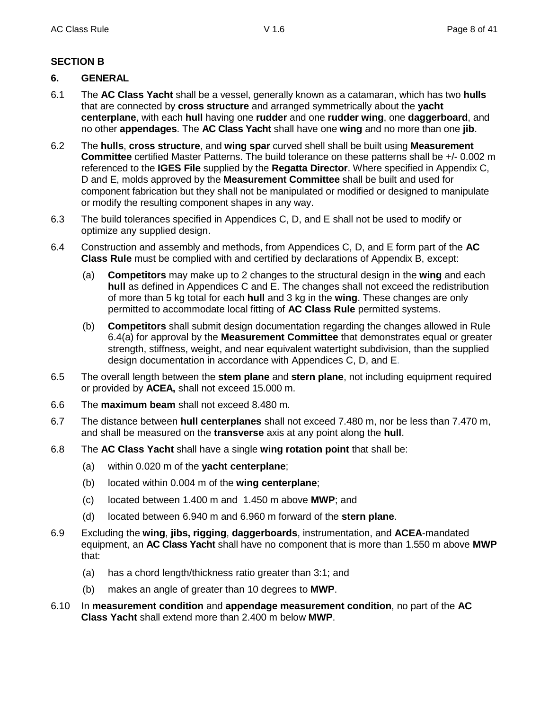## **SECTION B**

## **6. GENERAL**

- 6.1 The **AC Class Yacht** shall be a vessel, generally known as a catamaran, which has two **hulls** that are connected by **cross structure** and arranged symmetrically about the **yacht centerplane**, with each **hull** having one **rudder** and one **rudder wing**, one **daggerboard**, and no other **appendages**. The **AC Class Yacht** shall have one **wing** and no more than one **jib**.
- 6.2 The **hulls**, **cross structure**, and **wing spar** curved shell shall be built using **Measurement Committee** certified Master Patterns. The build tolerance on these patterns shall be +/- 0.002 m referenced to the **IGES File** supplied by the **Regatta Director**. Where specified in Appendix C, D and E, molds approved by the **Measurement Committee** shall be built and used for component fabrication but they shall not be manipulated or modified or designed to manipulate or modify the resulting component shapes in any way.
- 6.3 The build tolerances specified in Appendices C, D, and E shall not be used to modify or optimize any supplied design.
- 6.4 Construction and assembly and methods, from Appendices C, D, and E form part of the **AC Class Rule** must be complied with and certified by declarations of Appendix B, except:
	- (a) **Competitors** may make up to 2 changes to the structural design in the **wing** and each **hull** as defined in Appendices C and E. The changes shall not exceed the redistribution of more than 5 kg total for each **hull** and 3 kg in the **wing**. These changes are only permitted to accommodate local fitting of **AC Class Rule** permitted systems.
	- (b) **Competitors** shall submit design documentation regarding the changes allowed in Rule 6.4(a) for approval by the **Measurement Committee** that demonstrates equal or greater strength, stiffness, weight, and near equivalent watertight subdivision, than the supplied design documentation in accordance with Appendices C, D, and E.
- 6.5 The overall length between the **stem plane** and **stern plane**, not including equipment required or provided by **ACEA,** shall not exceed 15.000 m.
- 6.6 The **maximum beam** shall not exceed 8.480 m.
- 6.7 The distance between **hull centerplanes** shall not exceed 7.480 m, nor be less than 7.470 m, and shall be measured on the **transverse** axis at any point along the **hull**.
- 6.8 The **AC Class Yacht** shall have a single **wing rotation point** that shall be:
	- (a) within 0.020 m of the **yacht centerplane**;
	- (b) located within 0.004 m of the **wing centerplane**;
	- (c) located between 1.400 m and 1.450 m above **MWP**; and
	- (d) located between 6.940 m and 6.960 m forward of the **stern plane**.
- 6.9 Excluding the **wing**, **jibs, rigging**, **daggerboards**, instrumentation, and **ACEA**-mandated equipment, an **AC Class Yacht** shall have no component that is more than 1.550 m above **MWP** that:
	- (a) has a chord length/thickness ratio greater than 3:1; and
	- (b) makes an angle of greater than 10 degrees to **MWP**.
- 6.10 In **measurement condition** and **appendage measurement condition**, no part of the **AC Class Yacht** shall extend more than 2.400 m below **MWP**.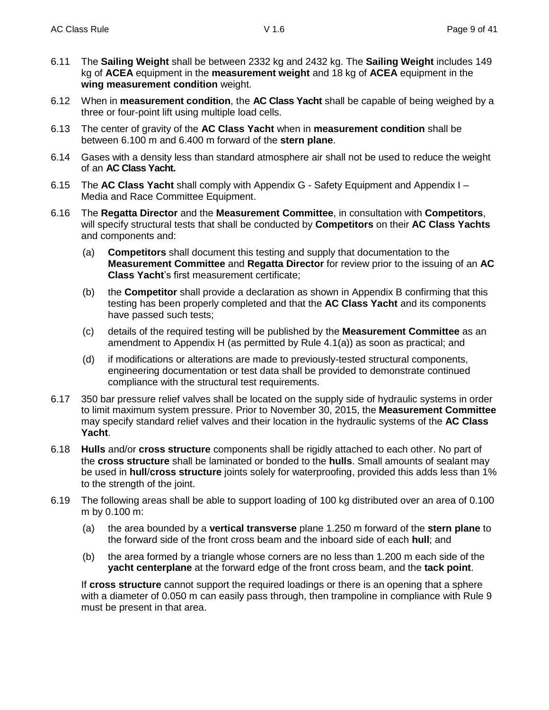- 6.11 The **Sailing Weight** shall be between 2332 kg and 2432 kg. The **Sailing Weight** includes 149 kg of **ACEA** equipment in the **measurement weight** and 18 kg of **ACEA** equipment in the **wing measurement condition** weight.
- 6.12 When in **measurement condition**, the **AC Class Yacht** shall be capable of being weighed by a three or four-point lift using multiple load cells.
- 6.13 The center of gravity of the **AC Class Yacht** when in **measurement condition** shall be between 6.100 m and 6.400 m forward of the **stern plane**.
- 6.14 Gases with a density less than standard atmosphere air shall not be used to reduce the weight of an **AC Class Yacht.**
- 6.15 The **AC Class Yacht** shall comply with Appendix G Safety Equipment and Appendix I Media and Race Committee Equipment.
- 6.16 The **Regatta Director** and the **Measurement Committee**, in consultation with **Competitors**, will specify structural tests that shall be conducted by **Competitors** on their **AC Class Yachts** and components and:
	- (a) **Competitors** shall document this testing and supply that documentation to the **Measurement Committee** and **Regatta Director** for review prior to the issuing of an **AC Class Yacht**'s first measurement certificate;
	- (b) the **Competitor** shall provide a declaration as shown in Appendix B confirming that this testing has been properly completed and that the **AC Class Yacht** and its components have passed such tests;
	- (c) details of the required testing will be published by the **Measurement Committee** as an amendment to Appendix H (as permitted by Rule 4.1(a)) as soon as practical; and
	- (d) if modifications or alterations are made to previously-tested structural components, engineering documentation or test data shall be provided to demonstrate continued compliance with the structural test requirements.
- 6.17 350 bar pressure relief valves shall be located on the supply side of hydraulic systems in order to limit maximum system pressure. Prior to November 30, 2015, the **Measurement Committee** may specify standard relief valves and their location in the hydraulic systems of the **AC Class Yacht**.
- 6.18 **Hulls** and/or **cross structure** components shall be rigidly attached to each other. No part of the **cross structure** shall be laminated or bonded to the **hulls**. Small amounts of sealant may be used in **hull**/**cross structure** joints solely for waterproofing, provided this adds less than 1% to the strength of the joint.
- 6.19 The following areas shall be able to support loading of 100 kg distributed over an area of 0.100 m by 0.100 m:
	- (a) the area bounded by a **vertical transverse** plane 1.250 m forward of the **stern plane** to the forward side of the front cross beam and the inboard side of each **hull**; and
	- (b) the area formed by a triangle whose corners are no less than 1.200 m each side of the **yacht centerplane** at the forward edge of the front cross beam, and the **tack point**.

If **cross structure** cannot support the required loadings or there is an opening that a sphere with a diameter of 0.050 m can easily pass through, then trampoline in compliance with Rule 9 must be present in that area.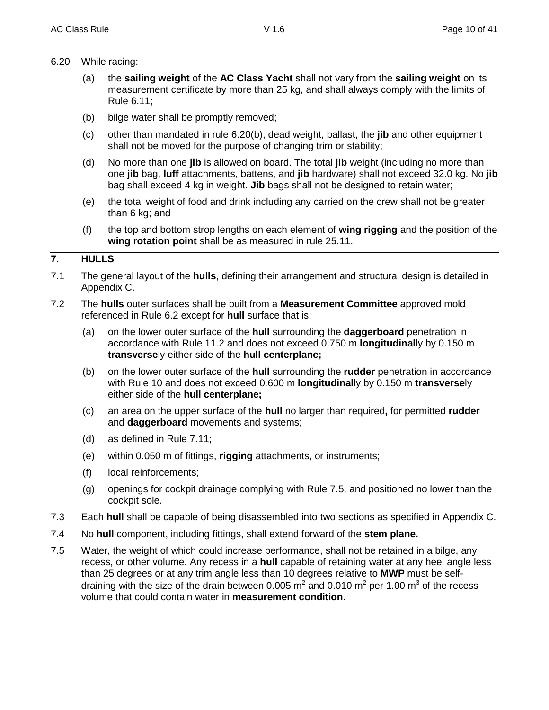- 6.20 While racing:
	- (a) the **sailing weight** of the **AC Class Yacht** shall not vary from the **sailing weight** on its measurement certificate by more than 25 kg, and shall always comply with the limits of Rule 6.11;
	- (b) bilge water shall be promptly removed;
	- (c) other than mandated in rule 6.20(b), dead weight, ballast, the **jib** and other equipment shall not be moved for the purpose of changing trim or stability;
	- (d) No more than one **jib** is allowed on board. The total **jib** weight (including no more than one **jib** bag, **luff** attachments, battens, and **jib** hardware) shall not exceed 32.0 kg. No **jib** bag shall exceed 4 kg in weight. **Jib** bags shall not be designed to retain water;
	- (e) the total weight of food and drink including any carried on the crew shall not be greater than 6 kg; and
	- (f) the top and bottom strop lengths on each element of **wing rigging** and the position of the **wing rotation point** shall be as measured in rule 25.11.

## **7. HULLS**

- 7.1 The general layout of the **hulls**, defining their arrangement and structural design is detailed in Appendix C.
- 7.2 The **hulls** outer surfaces shall be built from a **Measurement Committee** approved mold referenced in Rule 6.2 except for **hull** surface that is:
	- (a) on the lower outer surface of the **hull** surrounding the **daggerboard** penetration in accordance with Rule 11.2 and does not exceed 0.750 m **longitudinal**ly by 0.150 m **transverse**ly either side of the **hull centerplane;**
	- (b) on the lower outer surface of the **hull** surrounding the **rudder** penetration in accordance with Rule 10 and does not exceed 0.600 m **longitudinal**ly by 0.150 m **transverse**ly either side of the **hull centerplane;**
	- (c) an area on the upper surface of the **hull** no larger than required**,** for permitted **rudder** and **daggerboard** movements and systems;
	- (d) as defined in Rule 7.11;
	- (e) within 0.050 m of fittings, **rigging** attachments, or instruments;
	- (f) local reinforcements;
	- (g) openings for cockpit drainage complying with Rule 7.5, and positioned no lower than the cockpit sole.
- 7.3 Each **hull** shall be capable of being disassembled into two sections as specified in Appendix C.
- 7.4 No **hull** component, including fittings, shall extend forward of the **stem plane.**
- 7.5 Water, the weight of which could increase performance, shall not be retained in a bilge, any recess, or other volume. Any recess in a **hull** capable of retaining water at any heel angle less than 25 degrees or at any trim angle less than 10 degrees relative to **MWP** must be selfdraining with the size of the drain between 0.005 m<sup>2</sup> and 0.010 m<sup>2</sup> per 1.00 m<sup>3</sup> of the recess volume that could contain water in **measurement condition**.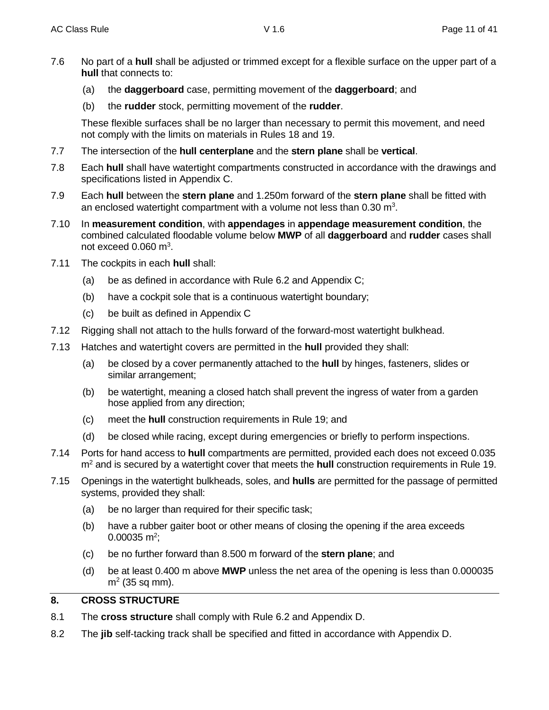- 7.6 No part of a **hull** shall be adjusted or trimmed except for a flexible surface on the upper part of a **hull** that connects to:
	- (a) the **daggerboard** case, permitting movement of the **daggerboard**; and
	- (b) the **rudder** stock, permitting movement of the **rudder**.

These flexible surfaces shall be no larger than necessary to permit this movement, and need not comply with the limits on materials in Rules 18 and 19.

- 7.7 The intersection of the **hull centerplane** and the **stern plane** shall be **vertical**.
- 7.8 Each **hull** shall have watertight compartments constructed in accordance with the drawings and specifications listed in Appendix C.
- 7.9 Each **hull** between the **stern plane** and 1.250m forward of the **stern plane** shall be fitted with an enclosed watertight compartment with a volume not less than 0.30 m<sup>3</sup>.
- 7.10 In **measurement condition**, with **appendages** in **appendage measurement condition**, the combined calculated floodable volume below **MWP** of all **daggerboard** and **rudder** cases shall not exceed  $0.060$  m<sup>3</sup>.
- 7.11 The cockpits in each **hull** shall:
	- (a) be as defined in accordance with Rule 6.2 and Appendix C;
	- (b) have a cockpit sole that is a continuous watertight boundary;
	- (c) be built as defined in Appendix C
- 7.12 Rigging shall not attach to the hulls forward of the forward-most watertight bulkhead.
- 7.13 Hatches and watertight covers are permitted in the **hull** provided they shall:
	- (a) be closed by a cover permanently attached to the **hull** by hinges, fasteners, slides or similar arrangement;
	- (b) be watertight, meaning a closed hatch shall prevent the ingress of water from a garden hose applied from any direction;
	- (c) meet the **hull** construction requirements in Rule 19; and
	- (d) be closed while racing, except during emergencies or briefly to perform inspections.
- 7.14 Ports for hand access to **hull** compartments are permitted, provided each does not exceed 0.035 m<sup>2</sup> and is secured by a watertight cover that meets the **hull** construction requirements in Rule 19.
- 7.15 Openings in the watertight bulkheads, soles, and **hulls** are permitted for the passage of permitted systems, provided they shall:
	- (a) be no larger than required for their specific task;
	- (b) have a rubber gaiter boot or other means of closing the opening if the area exceeds  $0.00035$  m<sup>2</sup>;
	- (c) be no further forward than 8.500 m forward of the **stern plane**; and
	- (d) be at least 0.400 m above **MWP** unless the net area of the opening is less than 0.000035  $m<sup>2</sup>$  (35 sq mm).

## **8. CROSS STRUCTURE**

- 8.1 The **cross structure** shall comply with Rule 6.2 and Appendix D.
- 8.2 The **jib** self-tacking track shall be specified and fitted in accordance with Appendix D.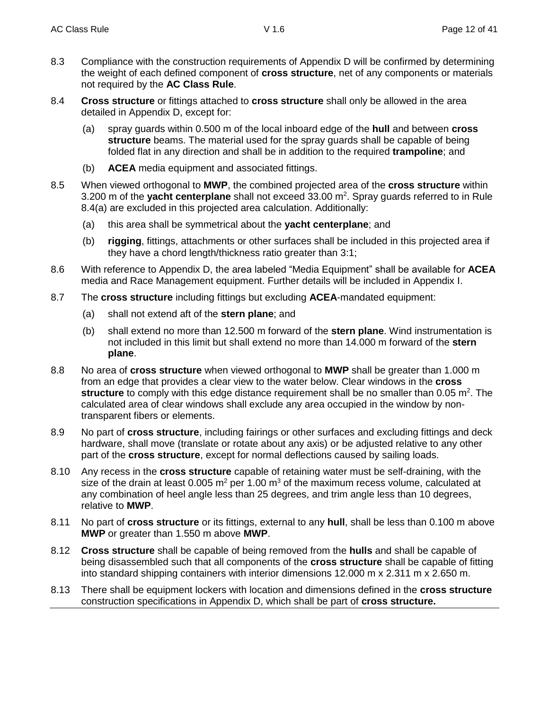- 8.3 Compliance with the construction requirements of Appendix D will be confirmed by determining the weight of each defined component of **cross structure**, net of any components or materials not required by the **AC Class Rule**.
- 8.4 **Cross structure** or fittings attached to **cross structure** shall only be allowed in the area detailed in Appendix D, except for:
	- (a) spray guards within 0.500 m of the local inboard edge of the **hull** and between **cross structure** beams. The material used for the spray guards shall be capable of being folded flat in any direction and shall be in addition to the required **trampoline**; and
	- (b) **ACEA** media equipment and associated fittings.
- 8.5 When viewed orthogonal to **MWP**, the combined projected area of the **cross structure** within 3.200 m of the yacht centerplane shall not exceed 33.00 m<sup>2</sup>. Spray guards referred to in Rule 8.4(a) are excluded in this projected area calculation. Additionally:
	- (a) this area shall be symmetrical about the **yacht centerplane**; and
	- (b) **rigging**, fittings, attachments or other surfaces shall be included in this projected area if they have a chord length/thickness ratio greater than 3:1;
- 8.6 With reference to Appendix D, the area labeled "Media Equipment" shall be available for **ACEA** media and Race Management equipment. Further details will be included in Appendix I.
- 8.7 The **cross structure** including fittings but excluding **ACEA**-mandated equipment:
	- (a) shall not extend aft of the **stern plane**; and
	- (b) shall extend no more than 12.500 m forward of the **stern plane**. Wind instrumentation is not included in this limit but shall extend no more than 14.000 m forward of the **stern plane**.
- 8.8 No area of **cross structure** when viewed orthogonal to **MWP** shall be greater than 1.000 m from an edge that provides a clear view to the water below. Clear windows in the **cross**  structure to comply with this edge distance requirement shall be no smaller than 0.05 m<sup>2</sup>. The calculated area of clear windows shall exclude any area occupied in the window by nontransparent fibers or elements.
- 8.9 No part of **cross structure**, including fairings or other surfaces and excluding fittings and deck hardware, shall move (translate or rotate about any axis) or be adjusted relative to any other part of the **cross structure**, except for normal deflections caused by sailing loads.
- 8.10 Any recess in the **cross structure** capable of retaining water must be self-draining, with the size of the drain at least 0.005  $m^2$  per 1.00  $m^3$  of the maximum recess volume, calculated at any combination of heel angle less than 25 degrees, and trim angle less than 10 degrees, relative to **MWP**.
- 8.11 No part of **cross structure** or its fittings, external to any **hull**, shall be less than 0.100 m above **MWP** or greater than 1.550 m above **MWP**.
- 8.12 **Cross structure** shall be capable of being removed from the **hulls** and shall be capable of being disassembled such that all components of the **cross structure** shall be capable of fitting into standard shipping containers with interior dimensions 12.000 m x 2.311 m x 2.650 m.
- 8.13 There shall be equipment lockers with location and dimensions defined in the **cross structure**  construction specifications in Appendix D, which shall be part of **cross structure.**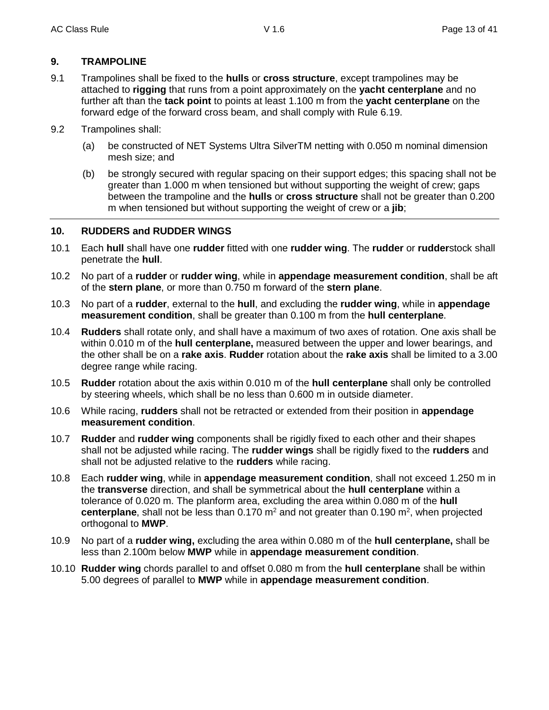## **9. TRAMPOLINE**

- 9.1 Trampolines shall be fixed to the **hulls** or **cross structure**, except trampolines may be attached to **rigging** that runs from a point approximately on the **yacht centerplane** and no further aft than the **tack point** to points at least 1.100 m from the **yacht centerplane** on the forward edge of the forward cross beam, and shall comply with Rule 6.19.
- 9.2 Trampolines shall:
	- (a) be constructed of NET Systems Ultra SilverTM netting with 0.050 m nominal dimension mesh size; and
	- (b) be strongly secured with regular spacing on their support edges; this spacing shall not be greater than 1.000 m when tensioned but without supporting the weight of crew; gaps between the trampoline and the **hulls** or **cross structure** shall not be greater than 0.200 m when tensioned but without supporting the weight of crew or a **jib**;

## **10. RUDDERS and RUDDER WINGS**

- 10.1 Each **hull** shall have one **rudder** fitted with one **rudder wing**. The **rudder** or **rudder**stock shall penetrate the **hull**.
- 10.2 No part of a **rudder** or **rudder wing**, while in **appendage measurement condition**, shall be aft of the **stern plane**, or more than 0.750 m forward of the **stern plane**.
- 10.3 No part of a **rudder**, external to the **hull**, and excluding the **rudder wing**, while in **appendage measurement condition**, shall be greater than 0.100 m from the **hull centerplane**.
- 10.4 **Rudders** shall rotate only, and shall have a maximum of two axes of rotation. One axis shall be within 0.010 m of the **hull centerplane,** measured between the upper and lower bearings, and the other shall be on a **rake axis**. **Rudder** rotation about the **rake axis** shall be limited to a 3.00 degree range while racing.
- 10.5 **Rudder** rotation about the axis within 0.010 m of the **hull centerplane** shall only be controlled by steering wheels, which shall be no less than 0.600 m in outside diameter.
- 10.6 While racing, **rudders** shall not be retracted or extended from their position in **appendage measurement condition**.
- 10.7 **Rudder** and **rudder wing** components shall be rigidly fixed to each other and their shapes shall not be adjusted while racing. The **rudder wings** shall be rigidly fixed to the **rudders** and shall not be adjusted relative to the **rudders** while racing.
- 10.8 Each **rudder wing**, while in **appendage measurement condition**, shall not exceed 1.250 m in the **transverse** direction, and shall be symmetrical about the **hull centerplane** within a tolerance of 0.020 m. The planform area, excluding the area within 0.080 m of the **hull**  centerplane, shall not be less than 0.170 m<sup>2</sup> and not greater than 0.190 m<sup>2</sup>, when projected orthogonal to **MWP**.
- 10.9 No part of a **rudder wing,** excluding the area within 0.080 m of the **hull centerplane,** shall be less than 2.100m below **MWP** while in **appendage measurement condition**.
- 10.10 **Rudder wing** chords parallel to and offset 0.080 m from the **hull centerplane** shall be within 5.00 degrees of parallel to **MWP** while in **appendage measurement condition**.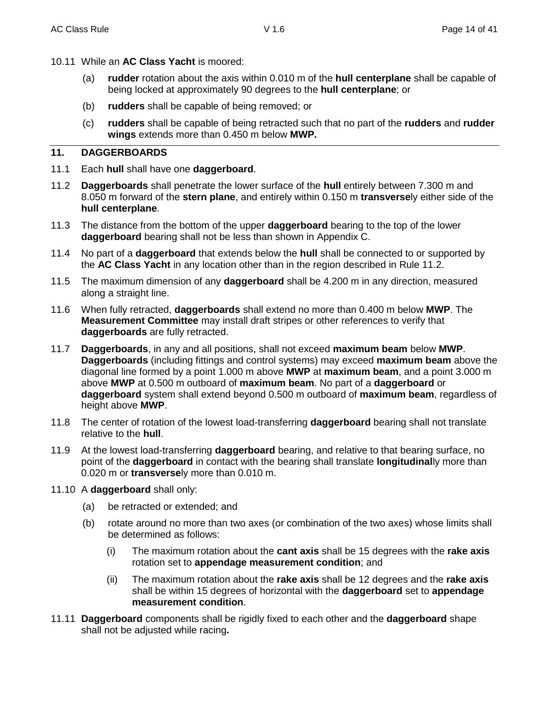- 10.11 While an **AC Class Yacht** is moored:
	- (a) **rudder** rotation about the axis within 0.010 m of the **hull centerplane** shall be capable of being locked at approximately 90 degrees to the **hull centerplane**; or
	- (b) **rudders** shall be capable of being removed; or
	- (c) **rudders** shall be capable of being retracted such that no part of the **rudders** and **rudder wings** extends more than 0.450 m below **MWP.**

## **11. DAGGERBOARDS**

- 11.1 Each **hull** shall have one **daggerboard**.
- 11.2 **Daggerboards** shall penetrate the lower surface of the **hull** entirely between 7.300 m and 8.050 m forward of the **stern plane**, and entirely within 0.150 m **transverse**ly either side of the **hull centerplane**.
- 11.3 The distance from the bottom of the upper **daggerboard** bearing to the top of the lower **daggerboard** bearing shall not be less than shown in Appendix C.
- 11.4 No part of a **daggerboard** that extends below the **hull** shall be connected to or supported by the **AC Class Yacht** in any location other than in the region described in Rule 11.2.
- 11.5 The maximum dimension of any **daggerboard** shall be 4.200 m in any direction, measured along a straight line.
- 11.6 When fully retracted, **daggerboards** shall extend no more than 0.400 m below **MWP**. The **Measurement Committee** may install draft stripes or other references to verify that **daggerboards** are fully retracted.
- 11.7 **Daggerboards**, in any and all positions, shall not exceed **maximum beam** below **MWP**. **Daggerboards** (including fittings and control systems) may exceed **maximum beam** above the diagonal line formed by a point 1.000 m above **MWP** at **maximum beam**, and a point 3.000 m above **MWP** at 0.500 m outboard of **maximum beam**. No part of a **daggerboard** or **daggerboard** system shall extend beyond 0.500 m outboard of **maximum beam**, regardless of height above **MWP**.
- 11.8 The center of rotation of the lowest load-transferring **daggerboard** bearing shall not translate relative to the **hull**.
- 11.9 At the lowest load-transferring **daggerboard** bearing, and relative to that bearing surface, no point of the **daggerboard** in contact with the bearing shall translate **longitudinal**ly more than 0.020 m or **transverse**ly more than 0.010 m.
- 11.10 A **daggerboard** shall only:
	- (a) be retracted or extended; and
	- (b) rotate around no more than two axes (or combination of the two axes) whose limits shall be determined as follows:
		- (i) The maximum rotation about the **cant axis** shall be 15 degrees with the **rake axis** rotation set to **appendage measurement condition**; and
		- (ii) The maximum rotation about the **rake axis** shall be 12 degrees and the **rake axis** shall be within 15 degrees of horizontal with the **daggerboard** set to **appendage measurement condition**.
- 11.11 **Daggerboard** components shall be rigidly fixed to each other and the **daggerboard** shape shall not be adjusted while racing**.**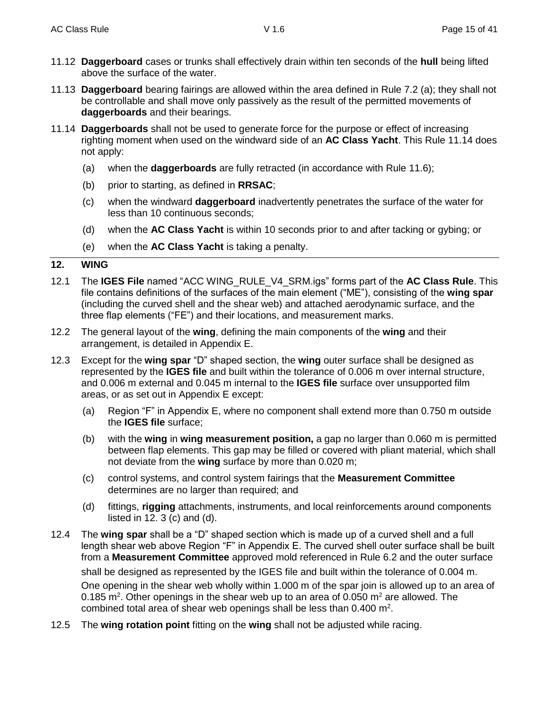- 11.12 **Daggerboard** cases or trunks shall effectively drain within ten seconds of the **hull** being lifted above the surface of the water.
- 11.13 **Daggerboard** bearing fairings are allowed within the area defined in Rule 7.2 (a); they shall not be controllable and shall move only passively as the result of the permitted movements of **daggerboards** and their bearings.
- 11.14 **Daggerboards** shall not be used to generate force for the purpose or effect of increasing righting moment when used on the windward side of an **AC Class Yacht**. This Rule 11.14 does not apply:
	- (a) when the **daggerboards** are fully retracted (in accordance with Rule 11.6);
	- (b) prior to starting, as defined in **RRSAC**;
	- (c) when the windward **daggerboard** inadvertently penetrates the surface of the water for less than 10 continuous seconds;
	- (d) when the **AC Class Yacht** is within 10 seconds prior to and after tacking or gybing; or
	- (e) when the **AC Class Yacht** is taking a penalty.

#### **12. WING**

- 12.1 The **IGES File** named "ACC WING\_RULE\_V4\_SRM.igs" forms part of the **AC Class Rule**. This file contains definitions of the surfaces of the main element ("ME"), consisting of the **wing spar**  (including the curved shell and the shear web) and attached aerodynamic surface, and the three flap elements ("FE") and their locations, and measurement marks.
- 12.2 The general layout of the **wing**, defining the main components of the **wing** and their arrangement, is detailed in Appendix E.
- 12.3 Except for the **wing spar** "D" shaped section, the **wing** outer surface shall be designed as represented by the **IGES file** and built within the tolerance of 0.006 m over internal structure, and 0.006 m external and 0.045 m internal to the **IGES file** surface over unsupported film areas, or as set out in Appendix E except:
	- (a) Region "F" in Appendix E, where no component shall extend more than 0.750 m outside the **IGES file** surface;
	- (b) with the **wing** in **wing measurement position,** a gap no larger than 0.060 m is permitted between flap elements. This gap may be filled or covered with pliant material, which shall not deviate from the **wing** surface by more than 0.020 m;
	- (c) control systems, and control system fairings that the **Measurement Committee** determines are no larger than required; and
	- (d) fittings, **rigging** attachments, instruments, and local reinforcements around components listed in  $12.3$  (c) and (d).
- 12.4 The **wing spar** shall be a "D" shaped section which is made up of a curved shell and a full length shear web above Region "F" in Appendix E. The curved shell outer surface shall be built from a **Measurement Committee** approved mold referenced in Rule 6.2 and the outer surface shall be designed as represented by the IGES file and built within the tolerance of 0.004 m. One opening in the shear web wholly within 1.000 m of the spar join is allowed up to an area of 0.185 m<sup>2</sup>. Other openings in the shear web up to an area of 0.050 m<sup>2</sup> are allowed. The combined total area of shear web openings shall be less than  $0.400$  m<sup>2</sup>.
- 12.5 The **wing rotation point** fitting on the **wing** shall not be adjusted while racing.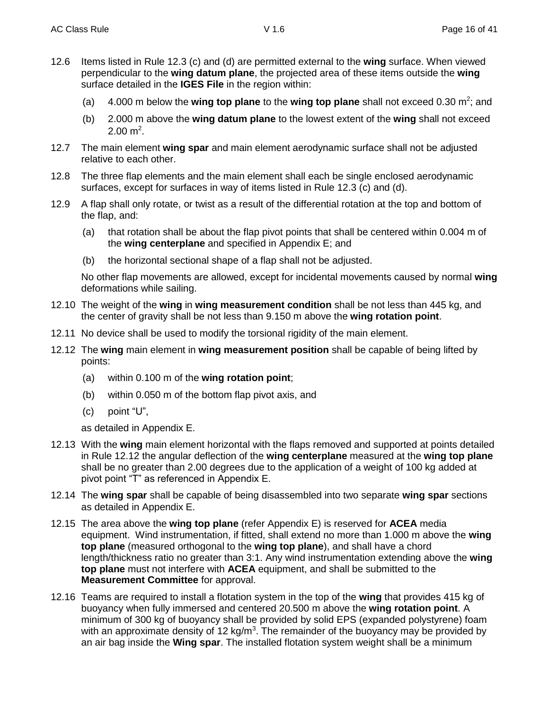- 12.6 Items listed in Rule 12.3 (c) and (d) are permitted external to the **wing** surface. When viewed perpendicular to the wing datum plane, the projected area of these items outside the **wing** surface detailed in the **IGES File** in the region within:
	- (a) 4.000 m below the **wing top plane** to the wing top plane shall not exceed 0.30 m<sup>2</sup>; and
	- (b) 2.000 m above the **wing datum plane** to the lowest extent of the **wing** shall not exceed  $2.00 \text{ m}^2$ .
- 12.7 The main element **wing spar** and main element aerodynamic surface shall not be adjusted relative to each other.
- 12.8 The three flap elements and the main element shall each be single enclosed aerodynamic surfaces, except for surfaces in way of items listed in Rule 12.3 (c) and (d).
- 12.9 A flap shall only rotate, or twist as a result of the differential rotation at the top and bottom of the flap, and:
	- (a) that rotation shall be about the flap pivot points that shall be centered within 0.004 m of the **wing centerplane** and specified in Appendix E; and
	- (b) the horizontal sectional shape of a flap shall not be adjusted.

No other flap movements are allowed, except for incidental movements caused by normal **wing** deformations while sailing.

- 12.10 The weight of the **wing** in **wing measurement condition** shall be not less than 445 kg, and the center of gravity shall be not less than 9.150 m above the **wing rotation point**.
- 12.11 No device shall be used to modify the torsional rigidity of the main element.
- 12.12 The **wing** main element in **wing measurement position** shall be capable of being lifted by points:
	- (a) within 0.100 m of the **wing rotation point**;
	- (b) within 0.050 m of the bottom flap pivot axis, and
	- (c) point "U",

as detailed in Appendix E.

- 12.13 With the **wing** main element horizontal with the flaps removed and supported at points detailed in Rule 12.12 the angular deflection of the **wing centerplane** measured at the **wing top plane** shall be no greater than 2.00 degrees due to the application of a weight of 100 kg added at pivot point "T" as referenced in Appendix E.
- 12.14 The **wing spar** shall be capable of being disassembled into two separate **wing spar** sections as detailed in Appendix E.
- 12.15 The area above the **wing top plane** (refer Appendix E) is reserved for **ACEA** media equipment. Wind instrumentation, if fitted, shall extend no more than 1.000 m above the **wing top plane** (measured orthogonal to the **wing top plane**), and shall have a chord length/thickness ratio no greater than 3:1. Any wind instrumentation extending above the **wing top plane** must not interfere with **ACEA** equipment, and shall be submitted to the **Measurement Committee** for approval.
- 12.16 Teams are required to install a flotation system in the top of the **wing** that provides 415 kg of buoyancy when fully immersed and centered 20.500 m above the **wing rotation point**. A minimum of 300 kg of buoyancy shall be provided by solid EPS (expanded polystyrene) foam with an approximate density of 12 kg/m<sup>3</sup>. The remainder of the buoyancy may be provided by an air bag inside the **Wing spar**. The installed flotation system weight shall be a minimum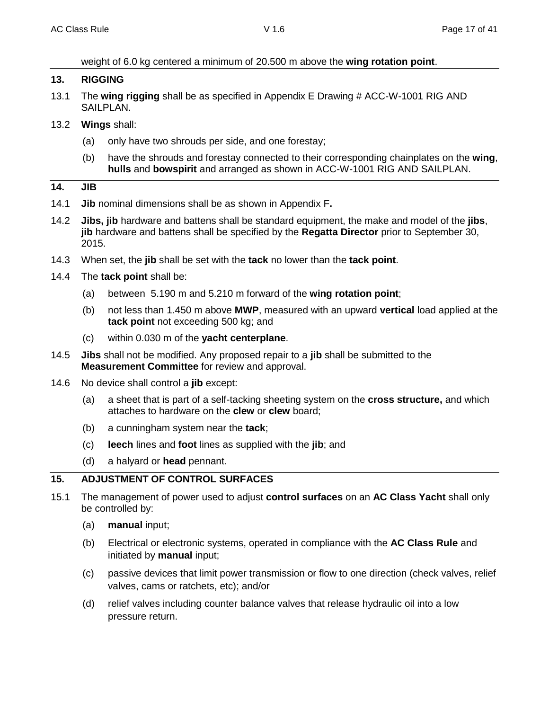weight of 6.0 kg centered a minimum of 20.500 m above the **wing rotation point**.

#### **13. RIGGING**

- 13.1 The **wing rigging** shall be as specified in Appendix E Drawing # ACC-W-1001 RIG AND SAILPLAN.
- 13.2 **Wings** shall:
	- (a) only have two shrouds per side, and one forestay;
	- (b) have the shrouds and forestay connected to their corresponding chainplates on the **wing**, **hulls** and **bowspirit** and arranged as shown in ACC-W-1001 RIG AND SAILPLAN.

#### **14. JIB**

- 14.1 **Jib** nominal dimensions shall be as shown in Appendix F**.**
- 14.2 **Jibs, jib** hardware and battens shall be standard equipment, the make and model of the **jibs**, **jib** hardware and battens shall be specified by the **Regatta Director** prior to September 30, 2015.
- 14.3 When set, the **jib** shall be set with the **tack** no lower than the **tack point**.
- 14.4 The **tack point** shall be:
	- (a) between 5.190 m and 5.210 m forward of the **wing rotation point**;
	- (b) not less than 1.450 m above **MWP**, measured with an upward **vertical** load applied at the **tack point** not exceeding 500 kg; and
	- (c) within 0.030 m of the **yacht centerplane**.
- 14.5 **Jibs** shall not be modified. Any proposed repair to a **jib** shall be submitted to the **Measurement Committee** for review and approval.
- 14.6 No device shall control a **jib** except:
	- (a) a sheet that is part of a self-tacking sheeting system on the **cross structure,** and which attaches to hardware on the **clew** or **clew** board;
	- (b) a cunningham system near the **tack**;
	- (c) **leech** lines and **foot** lines as supplied with the **jib**; and
	- (d) a halyard or **head** pennant.

## **15. ADJUSTMENT OF CONTROL SURFACES**

- 15.1 The management of power used to adjust **control surfaces** on an **AC Class Yacht** shall only be controlled by:
	- (a) **manual** input;
	- (b) Electrical or electronic systems, operated in compliance with the **AC Class Rule** and initiated by **manual** input;
	- (c) passive devices that limit power transmission or flow to one direction (check valves, relief valves, cams or ratchets, etc); and/or
	- (d) relief valves including counter balance valves that release hydraulic oil into a low pressure return.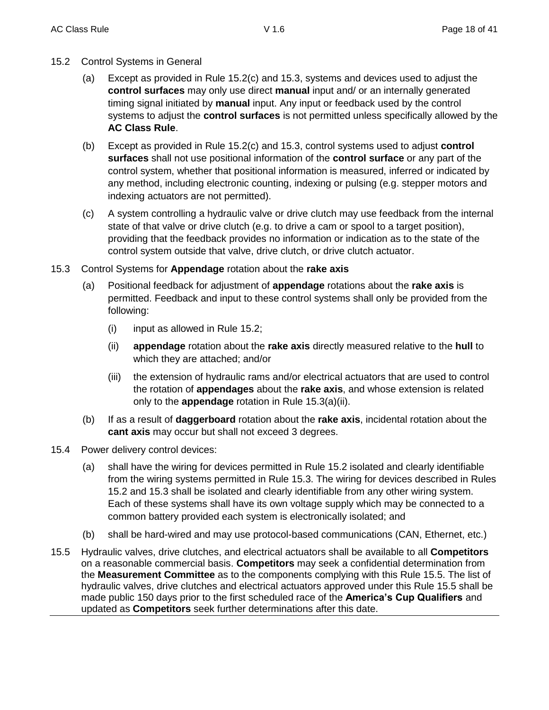- 15.2 Control Systems in General
	- (a) Except as provided in Rule 15.2(c) and 15.3, systems and devices used to adjust the **control surfaces** may only use direct **manual** input and/ or an internally generated timing signal initiated by **manual** input. Any input or feedback used by the control systems to adjust the **control surfaces** is not permitted unless specifically allowed by the **AC Class Rule**.
	- (b) Except as provided in Rule 15.2(c) and 15.3, control systems used to adjust **control surfaces** shall not use positional information of the **control surface** or any part of the control system, whether that positional information is measured, inferred or indicated by any method, including electronic counting, indexing or pulsing (e.g. stepper motors and indexing actuators are not permitted).
	- (c) A system controlling a hydraulic valve or drive clutch may use feedback from the internal state of that valve or drive clutch (e.g. to drive a cam or spool to a target position), providing that the feedback provides no information or indication as to the state of the control system outside that valve, drive clutch, or drive clutch actuator.
- 15.3 Control Systems for **Appendage** rotation about the **rake axis**
	- (a) Positional feedback for adjustment of **appendage** rotations about the **rake axis** is permitted. Feedback and input to these control systems shall only be provided from the following:
		- (i) input as allowed in Rule 15.2;
		- (ii) **appendage** rotation about the **rake axis** directly measured relative to the **hull** to which they are attached; and/or
		- (iii) the extension of hydraulic rams and/or electrical actuators that are used to control the rotation of **appendages** about the **rake axis**, and whose extension is related only to the **appendage** rotation in Rule 15.3(a)(ii).
	- (b) If as a result of **daggerboard** rotation about the **rake axis**, incidental rotation about the **cant axis** may occur but shall not exceed 3 degrees.
- 15.4 Power delivery control devices:
	- (a) shall have the wiring for devices permitted in Rule 15.2 isolated and clearly identifiable from the wiring systems permitted in Rule 15.3. The wiring for devices described in Rules 15.2 and 15.3 shall be isolated and clearly identifiable from any other wiring system. Each of these systems shall have its own voltage supply which may be connected to a common battery provided each system is electronically isolated; and
	- (b) shall be hard-wired and may use protocol-based communications (CAN, Ethernet, etc.)
- 15.5 Hydraulic valves, drive clutches, and electrical actuators shall be available to all **Competitors** on a reasonable commercial basis. **Competitors** may seek a confidential determination from the **Measurement Committee** as to the components complying with this Rule 15.5. The list of hydraulic valves, drive clutches and electrical actuators approved under this Rule 15.5 shall be made public 150 days prior to the first scheduled race of the **America's Cup Qualifiers** and updated as **Competitors** seek further determinations after this date.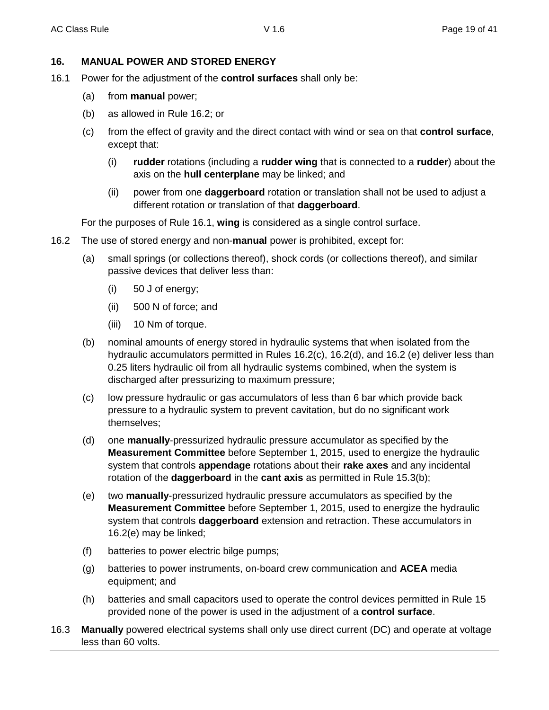## **16. MANUAL POWER AND STORED ENERGY**

- 16.1 Power for the adjustment of the **control surfaces** shall only be:
	- (a) from **manual** power;
	- (b) as allowed in Rule 16.2; or
	- (c) from the effect of gravity and the direct contact with wind or sea on that **control surface**, except that:
		- (i) **rudder** rotations (including a **rudder wing** that is connected to a **rudder**) about the axis on the **hull centerplane** may be linked; and
		- (ii) power from one **daggerboard** rotation or translation shall not be used to adjust a different rotation or translation of that **daggerboard**.

For the purposes of Rule 16.1, **wing** is considered as a single control surface.

- 16.2 The use of stored energy and non-**manual** power is prohibited, except for:
	- (a) small springs (or collections thereof), shock cords (or collections thereof), and similar passive devices that deliver less than:
		- (i) 50 J of energy;
		- (ii) 500 N of force; and
		- (iii) 10 Nm of torque.
	- (b) nominal amounts of energy stored in hydraulic systems that when isolated from the hydraulic accumulators permitted in Rules 16.2(c), 16.2(d), and 16.2 (e) deliver less than 0.25 liters hydraulic oil from all hydraulic systems combined, when the system is discharged after pressurizing to maximum pressure;
	- (c) low pressure hydraulic or gas accumulators of less than 6 bar which provide back pressure to a hydraulic system to prevent cavitation, but do no significant work themselves;
	- (d) one **manually**-pressurized hydraulic pressure accumulator as specified by the **Measurement Committee** before September 1, 2015, used to energize the hydraulic system that controls **appendage** rotations about their **rake axes** and any incidental rotation of the **daggerboard** in the **cant axis** as permitted in Rule 15.3(b);
	- (e) two **manually**-pressurized hydraulic pressure accumulators as specified by the **Measurement Committee** before September 1, 2015, used to energize the hydraulic system that controls **daggerboard** extension and retraction. These accumulators in 16.2(e) may be linked;
	- (f) batteries to power electric bilge pumps;
	- (g) batteries to power instruments, on-board crew communication and **ACEA** media equipment; and
	- (h) batteries and small capacitors used to operate the control devices permitted in Rule 15 provided none of the power is used in the adjustment of a **control surface**.
- 16.3 **Manually** powered electrical systems shall only use direct current (DC) and operate at voltage less than 60 volts.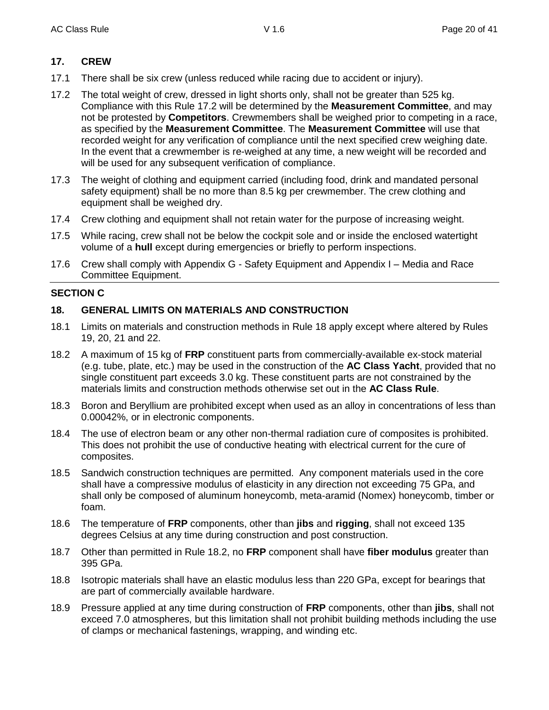## **17. CREW**

- 17.1 There shall be six crew (unless reduced while racing due to accident or injury).
- 17.2 The total weight of crew, dressed in light shorts only, shall not be greater than 525 kg. Compliance with this Rule 17.2 will be determined by the **Measurement Committee**, and may not be protested by **Competitors**. Crewmembers shall be weighed prior to competing in a race, as specified by the **Measurement Committee**. The **Measurement Committee** will use that recorded weight for any verification of compliance until the next specified crew weighing date. In the event that a crewmember is re-weighed at any time, a new weight will be recorded and will be used for any subsequent verification of compliance.
- 17.3 The weight of clothing and equipment carried (including food, drink and mandated personal safety equipment) shall be no more than 8.5 kg per crewmember. The crew clothing and equipment shall be weighed dry.
- 17.4 Crew clothing and equipment shall not retain water for the purpose of increasing weight.
- 17.5 While racing, crew shall not be below the cockpit sole and or inside the enclosed watertight volume of a **hull** except during emergencies or briefly to perform inspections.
- 17.6 Crew shall comply with Appendix G Safety Equipment and Appendix I Media and Race Committee Equipment.

#### **SECTION C**

## **18. GENERAL LIMITS ON MATERIALS AND CONSTRUCTION**

- 18.1 Limits on materials and construction methods in Rule 18 apply except where altered by Rules 19, 20, 21 and 22.
- 18.2 A maximum of 15 kg of **FRP** constituent parts from commercially-available ex-stock material (e.g. tube, plate, etc.) may be used in the construction of the **AC Class Yacht**, provided that no single constituent part exceeds 3.0 kg. These constituent parts are not constrained by the materials limits and construction methods otherwise set out in the **AC Class Rule**.
- 18.3 Boron and Beryllium are prohibited except when used as an alloy in concentrations of less than 0.00042%, or in electronic components.
- 18.4 The use of electron beam or any other non-thermal radiation cure of composites is prohibited. This does not prohibit the use of conductive heating with electrical current for the cure of composites.
- 18.5 Sandwich construction techniques are permitted. Any component materials used in the core shall have a compressive modulus of elasticity in any direction not exceeding 75 GPa, and shall only be composed of aluminum honeycomb, meta-aramid (Nomex) honeycomb, timber or foam.
- 18.6 The temperature of **FRP** components, other than **jibs** and **rigging**, shall not exceed 135 degrees Celsius at any time during construction and post construction.
- 18.7 Other than permitted in Rule 18.2, no **FRP** component shall have **fiber modulus** greater than 395 GPa.
- 18.8 Isotropic materials shall have an elastic modulus less than 220 GPa, except for bearings that are part of commercially available hardware.
- 18.9 Pressure applied at any time during construction of **FRP** components, other than **jibs**, shall not exceed 7.0 atmospheres, but this limitation shall not prohibit building methods including the use of clamps or mechanical fastenings, wrapping, and winding etc.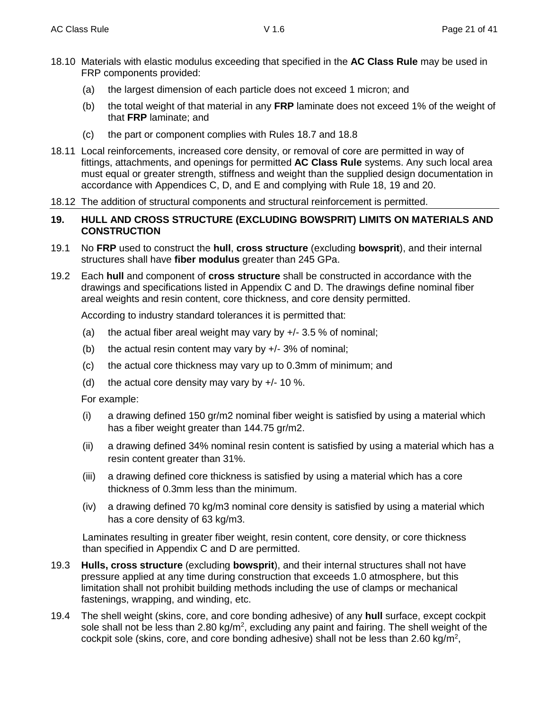- 18.10 Materials with elastic modulus exceeding that specified in the **AC Class Rule** may be used in FRP components provided:
	- (a) the largest dimension of each particle does not exceed 1 micron; and
	- (b) the total weight of that material in any **FRP** laminate does not exceed 1% of the weight of that **FRP** laminate; and
	- (c) the part or component complies with Rules 18.7 and 18.8
- 18.11 Local reinforcements, increased core density, or removal of core are permitted in way of fittings, attachments, and openings for permitted **AC Class Rule** systems. Any such local area must equal or greater strength, stiffness and weight than the supplied design documentation in accordance with Appendices C, D, and E and complying with Rule 18, 19 and 20.
- 18.12 The addition of structural components and structural reinforcement is permitted.

#### **19. HULL AND CROSS STRUCTURE (EXCLUDING BOWSPRIT) LIMITS ON MATERIALS AND CONSTRUCTION**

- 19.1 No **FRP** used to construct the **hull**, **cross structure** (excluding **bowsprit**), and their internal structures shall have **fiber modulus** greater than 245 GPa.
- 19.2 Each **hull** and component of **cross structure** shall be constructed in accordance with the drawings and specifications listed in Appendix C and D. The drawings define nominal fiber areal weights and resin content, core thickness, and core density permitted.

According to industry standard tolerances it is permitted that:

- (a) the actual fiber areal weight may vary by  $+/- 3.5 \%$  of nominal;
- (b) the actual resin content may vary by  $+/- 3\%$  of nominal;
- (c) the actual core thickness may vary up to 0.3mm of minimum; and
- (d) the actual core density may vary by  $+/- 10$  %.

For example:

- (i) a drawing defined 150 gr/m2 nominal fiber weight is satisfied by using a material which has a fiber weight greater than 144.75 gr/m2.
- (ii) a drawing defined 34% nominal resin content is satisfied by using a material which has a resin content greater than 31%.
- (iii) a drawing defined core thickness is satisfied by using a material which has a core thickness of 0.3mm less than the minimum.
- (iv) a drawing defined 70 kg/m3 nominal core density is satisfied by using a material which has a core density of 63 kg/m3.

Laminates resulting in greater fiber weight, resin content, core density, or core thickness than specified in Appendix C and D are permitted.

- 19.3 **Hulls, cross structure** (excluding **bowsprit**), and their internal structures shall not have pressure applied at any time during construction that exceeds 1.0 atmosphere, but this limitation shall not prohibit building methods including the use of clamps or mechanical fastenings, wrapping, and winding, etc.
- 19.4 The shell weight (skins, core, and core bonding adhesive) of any **hull** surface, except cockpit sole shall not be less than 2.80 kg/m<sup>2</sup>, excluding any paint and fairing. The shell weight of the cockpit sole (skins, core, and core bonding adhesive) shall not be less than 2.60 kg/m<sup>2</sup>,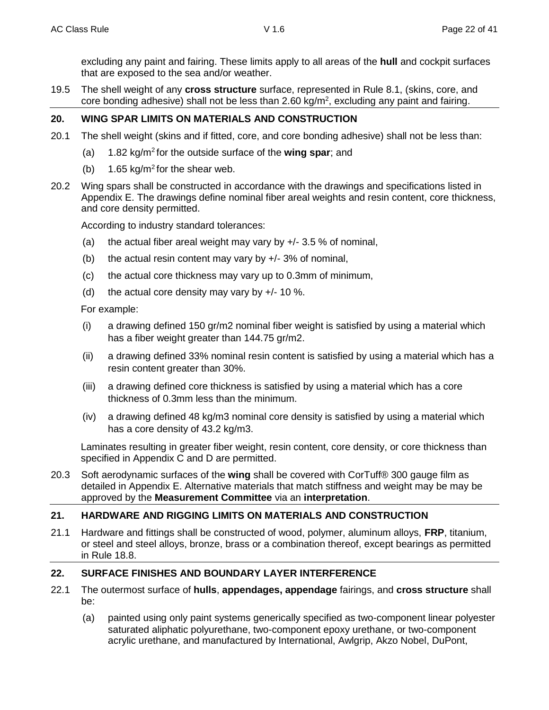excluding any paint and fairing. These limits apply to all areas of the **hull** and cockpit surfaces that are exposed to the sea and/or weather.

19.5 The shell weight of any **cross structure** surface, represented in Rule 8.1, (skins, core, and core bonding adhesive) shall not be less than 2.60 kg/m<sup>2</sup>, excluding any paint and fairing.

## **20. WING SPAR LIMITS ON MATERIALS AND CONSTRUCTION**

- 20.1 The shell weight (skins and if fitted, core, and core bonding adhesive) shall not be less than:
	- (a) 1.82 kg/m<sup>2</sup> for the outside surface of the **wing spar**; and
	- (b) 1.65 kg/m<sup>2</sup> for the shear web.
- 20.2 Wing spars shall be constructed in accordance with the drawings and specifications listed in Appendix E. The drawings define nominal fiber areal weights and resin content, core thickness, and core density permitted.

According to industry standard tolerances:

- (a) the actual fiber areal weight may vary by  $+/- 3.5 \%$  of nominal,
- (b) the actual resin content may vary by  $+/- 3\%$  of nominal,
- (c) the actual core thickness may vary up to 0.3mm of minimum,
- (d) the actual core density may vary by  $+/- 10$  %.

For example:

- (i) a drawing defined 150 gr/m2 nominal fiber weight is satisfied by using a material which has a fiber weight greater than 144.75 gr/m2.
- (ii) a drawing defined 33% nominal resin content is satisfied by using a material which has a resin content greater than 30%.
- (iii) a drawing defined core thickness is satisfied by using a material which has a core thickness of 0.3mm less than the minimum.
- (iv) a drawing defined 48 kg/m3 nominal core density is satisfied by using a material which has a core density of 43.2 kg/m3.

Laminates resulting in greater fiber weight, resin content, core density, or core thickness than specified in Appendix C and D are permitted.

20.3 Soft aerodynamic surfaces of the **wing** shall be covered with CorTuff® 300 gauge film as detailed in Appendix E. Alternative materials that match stiffness and weight may be may be approved by the **Measurement Committee** via an **interpretation**.

## **21. HARDWARE AND RIGGING LIMITS ON MATERIALS AND CONSTRUCTION**

21.1 Hardware and fittings shall be constructed of wood, polymer, aluminum alloys, **FRP**, titanium, or steel and steel alloys, bronze, brass or a combination thereof, except bearings as permitted in Rule 18.8.

## **22. SURFACE FINISHES AND BOUNDARY LAYER INTERFERENCE**

- 22.1 The outermost surface of **hulls**, **appendages, appendage** fairings, and **cross structure** shall be:
	- (a) painted using only paint systems generically specified as two-component linear polyester saturated aliphatic polyurethane, two-component epoxy urethane, or two-component acrylic urethane, and manufactured by International, Awlgrip, Akzo Nobel, DuPont,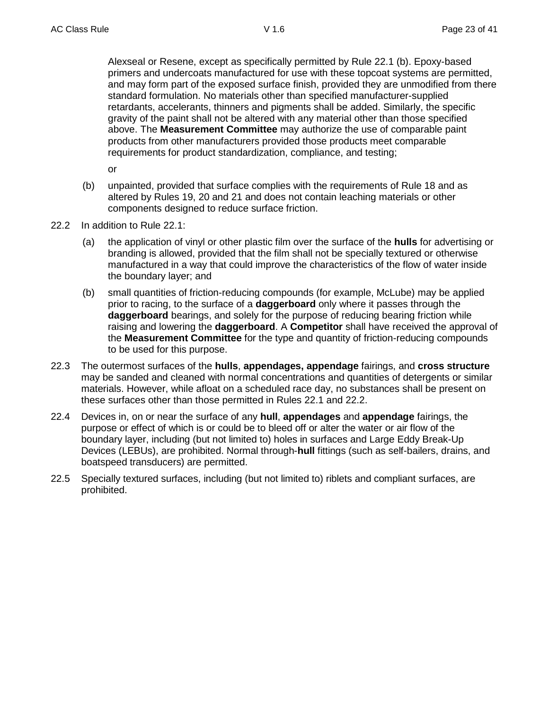Alexseal or Resene, except as specifically permitted by Rule 22.1 (b). Epoxy-based primers and undercoats manufactured for use with these topcoat systems are permitted, and may form part of the exposed surface finish, provided they are unmodified from there standard formulation. No materials other than specified manufacturer-supplied retardants, accelerants, thinners and pigments shall be added. Similarly, the specific gravity of the paint shall not be altered with any material other than those specified above. The **Measurement Committee** may authorize the use of comparable paint products from other manufacturers provided those products meet comparable requirements for product standardization, compliance, and testing;

or

- (b) unpainted, provided that surface complies with the requirements of Rule 18 and as altered by Rules 19, 20 and 21 and does not contain leaching materials or other components designed to reduce surface friction.
- 22.2 In addition to Rule 22.1:
	- (a) the application of vinyl or other plastic film over the surface of the **hulls** for advertising or branding is allowed, provided that the film shall not be specially textured or otherwise manufactured in a way that could improve the characteristics of the flow of water inside the boundary layer; and
	- (b) small quantities of friction-reducing compounds (for example, McLube) may be applied prior to racing, to the surface of a **daggerboard** only where it passes through the **daggerboard** bearings, and solely for the purpose of reducing bearing friction while raising and lowering the **daggerboard**. A **Competitor** shall have received the approval of the **Measurement Committee** for the type and quantity of friction-reducing compounds to be used for this purpose.
- 22.3 The outermost surfaces of the **hulls**, **appendages, appendage** fairings, and **cross structure** may be sanded and cleaned with normal concentrations and quantities of detergents or similar materials. However, while afloat on a scheduled race day, no substances shall be present on these surfaces other than those permitted in Rules 22.1 and 22.2.
- 22.4 Devices in, on or near the surface of any **hull**, **appendages** and **appendage** fairings, the purpose or effect of which is or could be to bleed off or alter the water or air flow of the boundary layer, including (but not limited to) holes in surfaces and Large Eddy Break-Up Devices (LEBUs), are prohibited. Normal through-**hull** fittings (such as self-bailers, drains, and boatspeed transducers) are permitted.
- 22.5 Specially textured surfaces, including (but not limited to) riblets and compliant surfaces, are prohibited.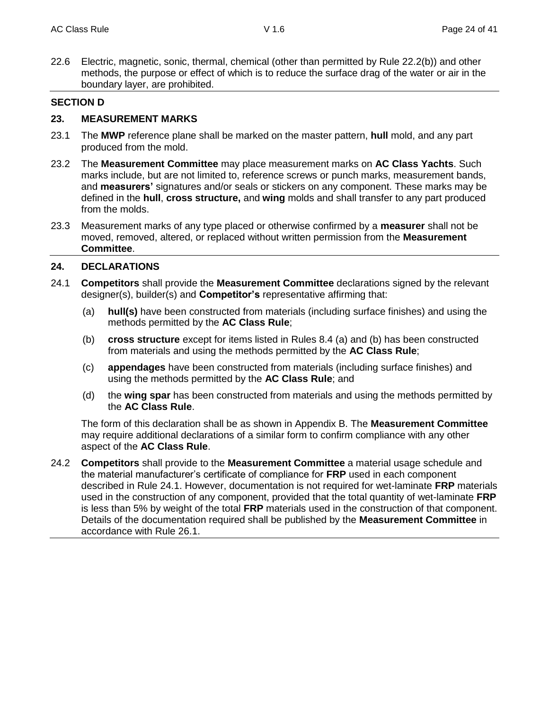22.6 Electric, magnetic, sonic, thermal, chemical (other than permitted by Rule 22.2(b)) and other methods, the purpose or effect of which is to reduce the surface drag of the water or air in the boundary layer, are prohibited.

#### **SECTION D**

#### **23. MEASUREMENT MARKS**

- 23.1 The **MWP** reference plane shall be marked on the master pattern, **hull** mold, and any part produced from the mold.
- 23.2 The **Measurement Committee** may place measurement marks on **AC Class Yachts**. Such marks include, but are not limited to, reference screws or punch marks, measurement bands, and **measurers'** signatures and/or seals or stickers on any component. These marks may be defined in the **hull**, **cross structure,** and **wing** molds and shall transfer to any part produced from the molds.
- 23.3 Measurement marks of any type placed or otherwise confirmed by a **measurer** shall not be moved, removed, altered, or replaced without written permission from the **Measurement Committee**.

## **24. DECLARATIONS**

- 24.1 **Competitors** shall provide the **Measurement Committee** declarations signed by the relevant designer(s), builder(s) and **Competitor's** representative affirming that:
	- (a) **hull(s)** have been constructed from materials (including surface finishes) and using the methods permitted by the **AC Class Rule**;
	- (b) **cross structure** except for items listed in Rules 8.4 (a) and (b) has been constructed from materials and using the methods permitted by the **AC Class Rule**;
	- (c) **appendages** have been constructed from materials (including surface finishes) and using the methods permitted by the **AC Class Rule**; and
	- (d) the **wing spar** has been constructed from materials and using the methods permitted by the **AC Class Rule**.

The form of this declaration shall be as shown in Appendix B. The **Measurement Committee** may require additional declarations of a similar form to confirm compliance with any other aspect of the **AC Class Rule**.

24.2 **Competitors** shall provide to the **Measurement Committee** a material usage schedule and the material manufacturer's certificate of compliance for **FRP** used in each component described in Rule 24.1. However, documentation is not required for wet-laminate **FRP** materials used in the construction of any component, provided that the total quantity of wet-laminate **FRP** is less than 5% by weight of the total **FRP** materials used in the construction of that component. Details of the documentation required shall be published by the **Measurement Committee** in accordance with Rule 26.1.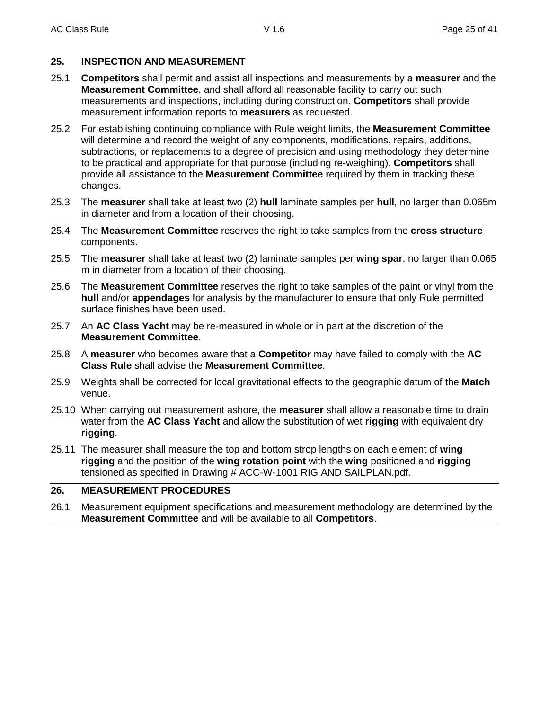## **25. INSPECTION AND MEASUREMENT**

- 25.1 **Competitors** shall permit and assist all inspections and measurements by a **measurer** and the **Measurement Committee**, and shall afford all reasonable facility to carry out such measurements and inspections, including during construction. **Competitors** shall provide measurement information reports to **measurers** as requested.
- 25.2 For establishing continuing compliance with Rule weight limits, the **Measurement Committee** will determine and record the weight of any components, modifications, repairs, additions, subtractions, or replacements to a degree of precision and using methodology they determine to be practical and appropriate for that purpose (including re-weighing). **Competitors** shall provide all assistance to the **Measurement Committee** required by them in tracking these changes.
- 25.3 The **measurer** shall take at least two (2) **hull** laminate samples per **hull**, no larger than 0.065m in diameter and from a location of their choosing.
- 25.4 The **Measurement Committee** reserves the right to take samples from the **cross structure** components.
- 25.5 The **measurer** shall take at least two (2) laminate samples per **wing spar**, no larger than 0.065 m in diameter from a location of their choosing.
- 25.6 The **Measurement Committee** reserves the right to take samples of the paint or vinyl from the **hull** and/or **appendages** for analysis by the manufacturer to ensure that only Rule permitted surface finishes have been used.
- 25.7 An **AC Class Yacht** may be re-measured in whole or in part at the discretion of the **Measurement Committee**.
- 25.8 A **measurer** who becomes aware that a **Competitor** may have failed to comply with the **AC Class Rule** shall advise the **Measurement Committee**.
- 25.9 Weights shall be corrected for local gravitational effects to the geographic datum of the **Match** venue.
- 25.10 When carrying out measurement ashore, the **measurer** shall allow a reasonable time to drain water from the **AC Class Yacht** and allow the substitution of wet **rigging** with equivalent dry **rigging**.
- 25.11 The measurer shall measure the top and bottom strop lengths on each element of **wing rigging** and the position of the **wing rotation point** with the **wing** positioned and **rigging** tensioned as specified in Drawing # ACC-W-1001 RIG AND SAILPLAN.pdf.

## **26. MEASUREMENT PROCEDURES**

26.1 Measurement equipment specifications and measurement methodology are determined by the **Measurement Committee** and will be available to all **Competitors**.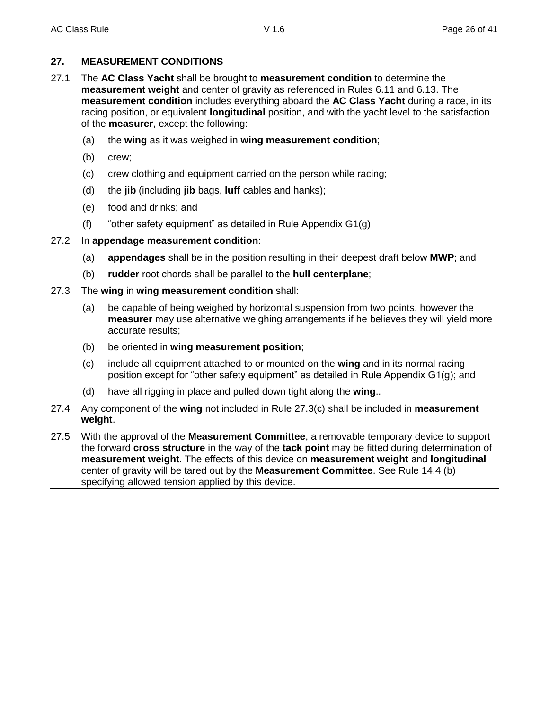## **27. MEASUREMENT CONDITIONS**

- 27.1 The **AC Class Yacht** shall be brought to **measurement condition** to determine the **measurement weight** and center of gravity as referenced in Rules 6.11 and 6.13. The **measurement condition** includes everything aboard the **AC Class Yacht** during a race, in its racing position, or equivalent **longitudinal** position, and with the yacht level to the satisfaction of the **measurer**, except the following:
	- (a) the **wing** as it was weighed in **wing measurement condition**;
	- (b) crew;
	- (c) crew clothing and equipment carried on the person while racing;
	- (d) the **jib** (including **jib** bags, **luff** cables and hanks);
	- (e) food and drinks; and
	- (f) "other safety equipment" as detailed in Rule Appendix G1(g)

## 27.2 In **appendage measurement condition**:

- (a) **appendages** shall be in the position resulting in their deepest draft below **MWP**; and
- (b) **rudder** root chords shall be parallel to the **hull centerplane**;
- 27.3 The **wing** in **wing measurement condition** shall:
	- (a) be capable of being weighed by horizontal suspension from two points, however the **measurer** may use alternative weighing arrangements if he believes they will yield more accurate results;
	- (b) be oriented in **wing measurement position**;
	- (c) include all equipment attached to or mounted on the **wing** and in its normal racing position except for "other safety equipment" as detailed in Rule Appendix G1(g); and
	- (d) have all rigging in place and pulled down tight along the **wing**..
- 27.4 Any component of the **wing** not included in Rule 27.3(c) shall be included in **measurement weight**.
- 27.5 With the approval of the **Measurement Committee**, a removable temporary device to support the forward **cross structure** in the way of the **tack point** may be fitted during determination of **measurement weight**. The effects of this device on **measurement weight** and **longitudinal** center of gravity will be tared out by the **Measurement Committee**. See Rule 14.4 (b) specifying allowed tension applied by this device.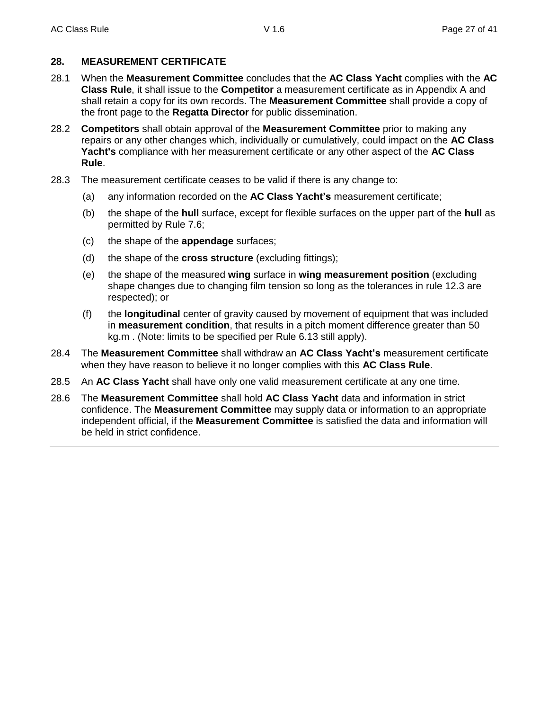## **28. MEASUREMENT CERTIFICATE**

- 28.1 When the **Measurement Committee** concludes that the **AC Class Yacht** complies with the **AC Class Rule**, it shall issue to the **Competitor** a measurement certificate as in Appendix A and shall retain a copy for its own records. The **Measurement Committee** shall provide a copy of the front page to the **Regatta Director** for public dissemination.
- 28.2 **Competitors** shall obtain approval of the **Measurement Committee** prior to making any repairs or any other changes which, individually or cumulatively, could impact on the **AC Class Yacht's** compliance with her measurement certificate or any other aspect of the **AC Class Rule**.
- 28.3 The measurement certificate ceases to be valid if there is any change to:
	- (a) any information recorded on the **AC Class Yacht's** measurement certificate;
	- (b) the shape of the **hull** surface, except for flexible surfaces on the upper part of the **hull** as permitted by Rule 7.6;
	- (c) the shape of the **appendage** surfaces;
	- (d) the shape of the **cross structure** (excluding fittings);
	- (e) the shape of the measured **wing** surface in **wing measurement position** (excluding shape changes due to changing film tension so long as the tolerances in rule 12.3 are respected); or
	- (f) the **longitudinal** center of gravity caused by movement of equipment that was included in **measurement condition**, that results in a pitch moment difference greater than 50 kg.m . (Note: limits to be specified per Rule 6.13 still apply).
- 28.4 The **Measurement Committee** shall withdraw an **AC Class Yacht's** measurement certificate when they have reason to believe it no longer complies with this **AC Class Rule**.
- 28.5 An **AC Class Yacht** shall have only one valid measurement certificate at any one time.
- 28.6 The **Measurement Committee** shall hold **AC Class Yacht** data and information in strict confidence. The **Measurement Committee** may supply data or information to an appropriate independent official, if the **Measurement Committee** is satisfied the data and information will be held in strict confidence.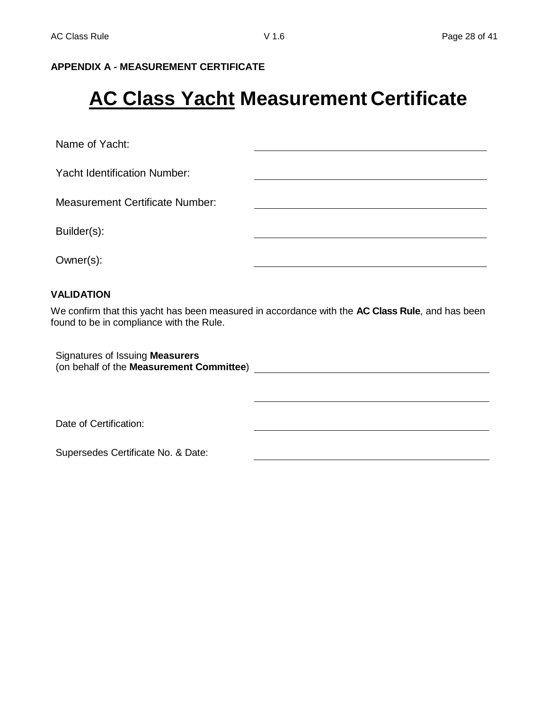## **APPENDIX A - MEASUREMENT CERTIFICATE**

## **AC Class Yacht Measurement Certificate**

Name of Yacht:

Yacht Identification Number:

Measurement Certificate Number:

Builder(s):

Owner(s):

#### **VALIDATION**

We confirm that this yacht has been measured in accordance with the **AC Class Rule**, and has been found to be in compliance with the Rule.

Signatures of Issuing **Measurers** (on behalf of the **Measurement Committee**)

Date of Certification:

Supersedes Certificate No. & Date: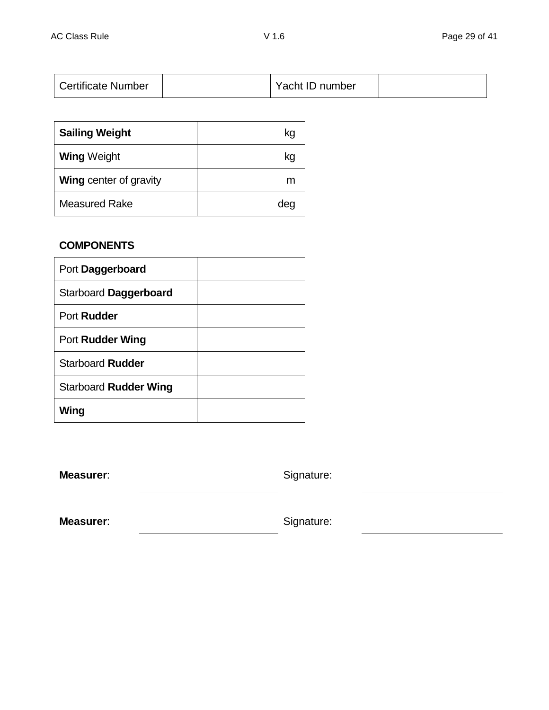|  | <b>Certificate Number</b> |  | Yacht ID number |  |
|--|---------------------------|--|-----------------|--|
|--|---------------------------|--|-----------------|--|

| <b>Sailing Weight</b>         | kg  |
|-------------------------------|-----|
| <b>Wing Weight</b>            | kg  |
| <b>Wing center of gravity</b> | m   |
| <b>Measured Rake</b>          | dec |

## **COMPONENTS**

| Port Daggerboard        |  |
|-------------------------|--|
| Starboard Daggerboard   |  |
| Port Rudder             |  |
| Port Rudder Wing        |  |
| <b>Starboard Rudder</b> |  |
| Starboard Rudder Wing   |  |
| Wing                    |  |

**Measurer:** Signature:

**Measurer:** Signature: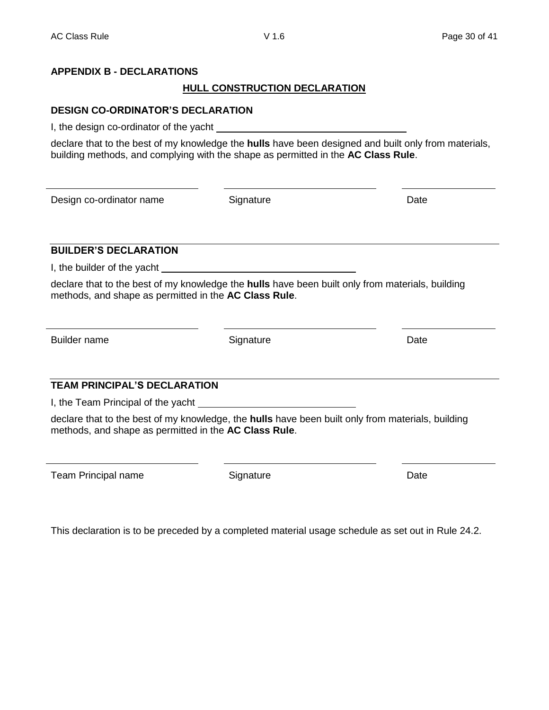## **APPENDIX B - DECLARATIONS**

## **HULL CONSTRUCTION DECLARATION**

## **DESIGN CO-ORDINATOR'S DECLARATION**

I, the design co-ordinator of the yacht

declare that to the best of my knowledge the **hulls** have been designed and built only from materials, building methods, and complying with the shape as permitted in the **AC Class Rule**.

Design co-ordinator name Signature Date

## **BUILDER'S DECLARATION**

I, the builder of the yacht

declare that to the best of my knowledge the **hulls** have been built only from materials, building methods, and shape as permitted in the **AC Class Rule**.

Builder name **Signature Signature Signature Signature Date** 

## **TEAM PRINCIPAL'S DECLARATION**

I, the Team Principal of the yacht

declare that to the best of my knowledge, the **hulls** have been built only from materials, building methods, and shape as permitted in the **AC Class Rule**.

Team Principal name **Signature** Signature **Date** Date

This declaration is to be preceded by a completed material usage schedule as set out in Rule 24.2.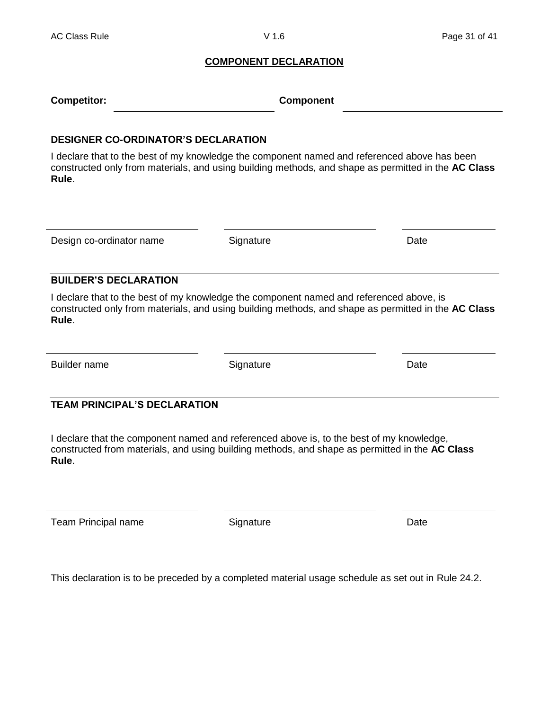#### **COMPONENT DECLARATION**

|  | <b>Competitor:</b> | <b>Component</b> |
|--|--------------------|------------------|
|--|--------------------|------------------|

#### **DESIGNER CO-ORDINATOR'S DECLARATION**

I declare that to the best of my knowledge the component named and referenced above has been constructed only from materials, and using building methods, and shape as permitted in the **AC Class Rule**.

Design co-ordinator name Signature Date

#### **BUILDER'S DECLARATION**

I declare that to the best of my knowledge the component named and referenced above, is constructed only from materials, and using building methods, and shape as permitted in the **AC Class Rule**.

Builder name **Signature Contact System Contact Contact Contact Contact Contact Contact Contact Contact Contact Contact Contact Contact Contact Contact Contact Contact Contact Contact Contact Contact Contact Contact Conta** 

## **TEAM PRINCIPAL'S DECLARATION**

I declare that the component named and referenced above is, to the best of my knowledge, constructed from materials, and using building methods, and shape as permitted in the **AC Class Rule**.

Team Principal name **Signature** Signature **Date** Date

This declaration is to be preceded by a completed material usage schedule as set out in Rule 24.2.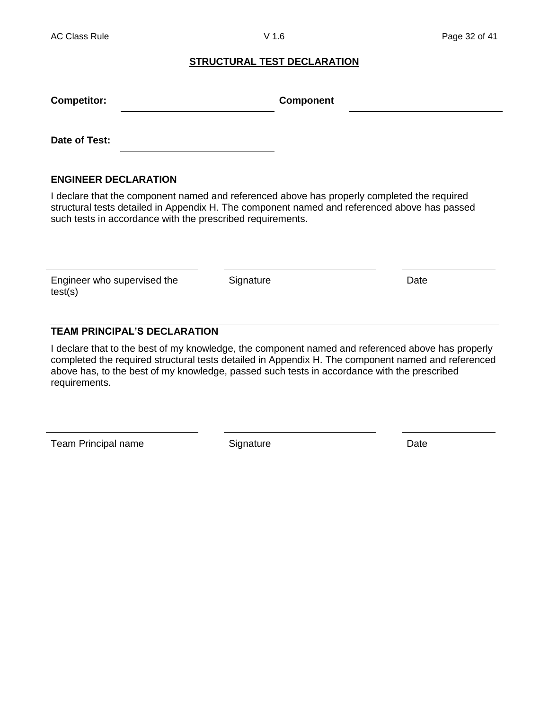#### **STRUCTURAL TEST DECLARATION**

| <b>Competitor:</b>          | <b>Component</b> |  |
|-----------------------------|------------------|--|
| Date of Test:               |                  |  |
| <b>ENGINEER DECLARATION</b> |                  |  |

I declare that the component named and referenced above has properly completed the required structural tests detailed in Appendix H. The component named and referenced above has passed such tests in accordance with the prescribed requirements.

Engineer who supervised the test(s)

Signature Date

## **TEAM PRINCIPAL'S DECLARATION**

I declare that to the best of my knowledge, the component named and referenced above has properly completed the required structural tests detailed in Appendix H. The component named and referenced above has, to the best of my knowledge, passed such tests in accordance with the prescribed requirements.

Team Principal name Signature Signature Date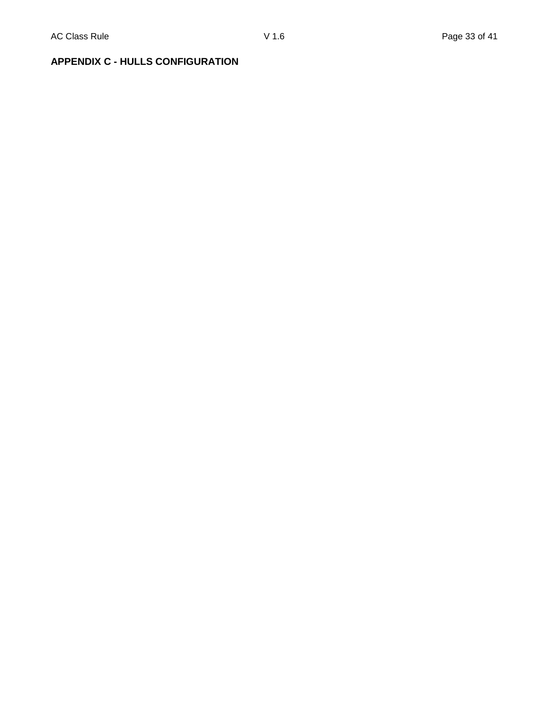## **APPENDIX C - HULLS CONFIGURATION**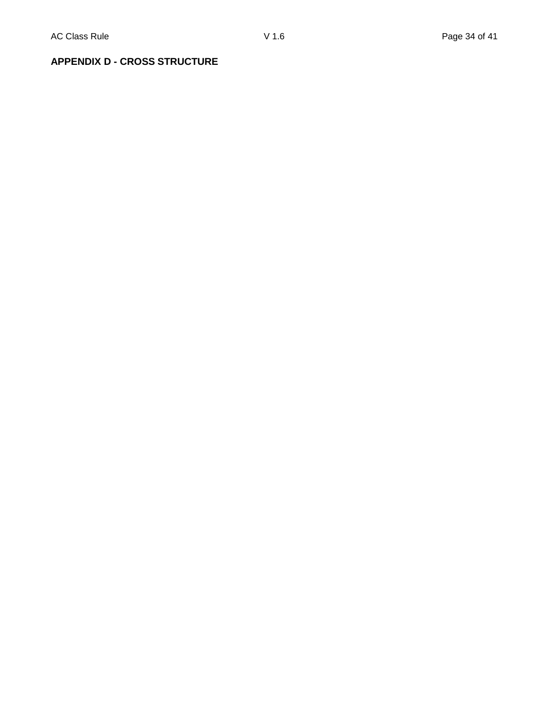## **APPENDIX D - CROSS STRUCTURE**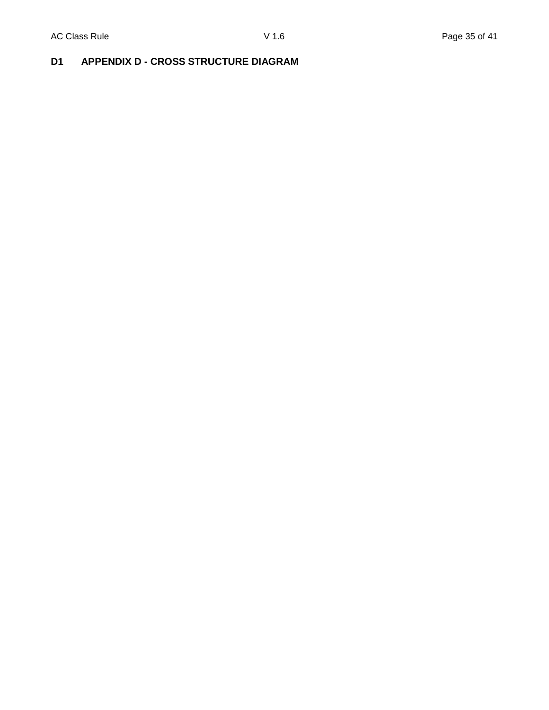## **D1 APPENDIX D - CROSS STRUCTURE DIAGRAM**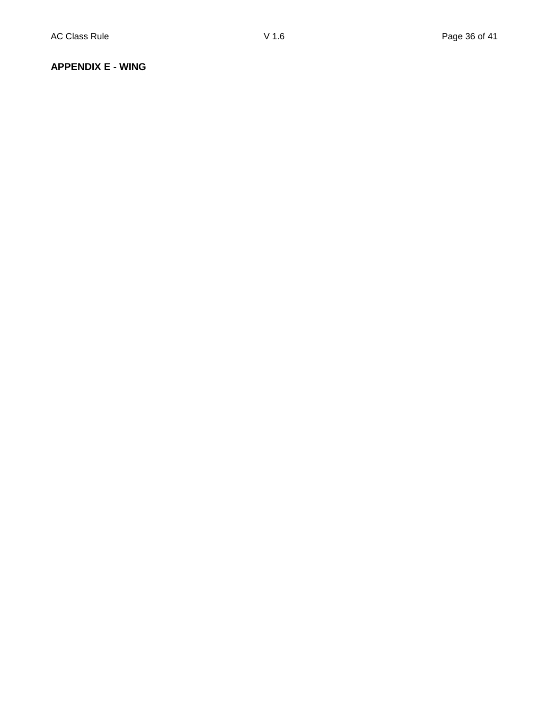#### **APPENDIX E - WING**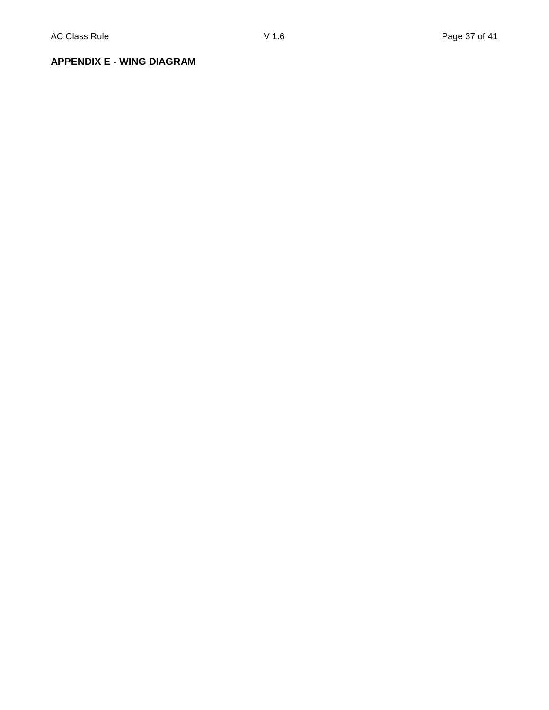**APPENDIX E - WING DIAGRAM**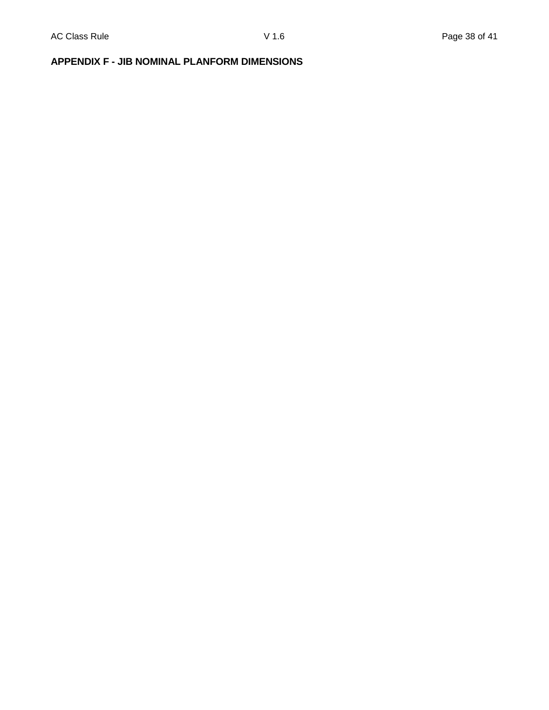## **APPENDIX F - JIB NOMINAL PLANFORM DIMENSIONS**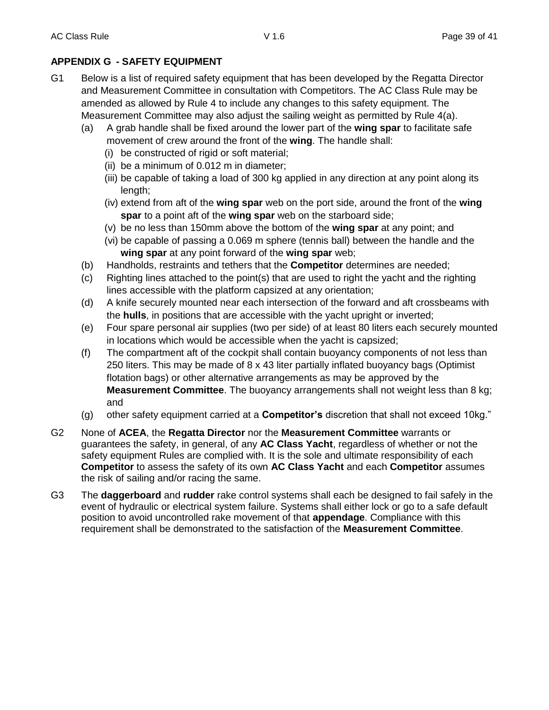## **APPENDIX G - SAFETY EQUIPMENT**

- G1 Below is a list of required safety equipment that has been developed by the Regatta Director and Measurement Committee in consultation with Competitors. The AC Class Rule may be amended as allowed by Rule 4 to include any changes to this safety equipment. The Measurement Committee may also adjust the sailing weight as permitted by Rule 4(a).
	- (a) A grab handle shall be fixed around the lower part of the **wing spar** to facilitate safe movement of crew around the front of the **wing**. The handle shall:
		- (i) be constructed of rigid or soft material;
		- (ii) be a minimum of 0.012 m in diameter;
		- (iii) be capable of taking a load of 300 kg applied in any direction at any point along its length;
		- (iv) extend from aft of the **wing spar** web on the port side, around the front of the **wing spar** to a point aft of the **wing spar** web on the starboard side;
		- (v) be no less than 150mm above the bottom of the **wing spar** at any point; and
		- (vi) be capable of passing a 0.069 m sphere (tennis ball) between the handle and the **wing spar** at any point forward of the **wing spar** web;
	- (b) Handholds, restraints and tethers that the **Competitor** determines are needed;
	- (c) Righting lines attached to the point(s) that are used to right the yacht and the righting lines accessible with the platform capsized at any orientation;
	- (d) A knife securely mounted near each intersection of the forward and aft crossbeams with the **hulls**, in positions that are accessible with the yacht upright or inverted;
	- (e) Four spare personal air supplies (two per side) of at least 80 liters each securely mounted in locations which would be accessible when the yacht is capsized;
	- (f) The compartment aft of the cockpit shall contain buoyancy components of not less than 250 liters. This may be made of 8 x 43 liter partially inflated buoyancy bags (Optimist flotation bags) or other alternative arrangements as may be approved by the **Measurement Committee**. The buoyancy arrangements shall not weight less than 8 kg; and
	- (g) other safety equipment carried at a **Competitor's** discretion that shall not exceed 10kg."
- G2 None of **ACEA**, the **Regatta Director** nor the **Measurement Committee** warrants or guarantees the safety, in general, of any **AC Class Yacht**, regardless of whether or not the safety equipment Rules are complied with. It is the sole and ultimate responsibility of each **Competitor** to assess the safety of its own **AC Class Yacht** and each **Competitor** assumes the risk of sailing and/or racing the same.
- G3 The **daggerboard** and **rudder** rake control systems shall each be designed to fail safely in the event of hydraulic or electrical system failure. Systems shall either lock or go to a safe default position to avoid uncontrolled rake movement of that **appendage**. Compliance with this requirement shall be demonstrated to the satisfaction of the **Measurement Committee**.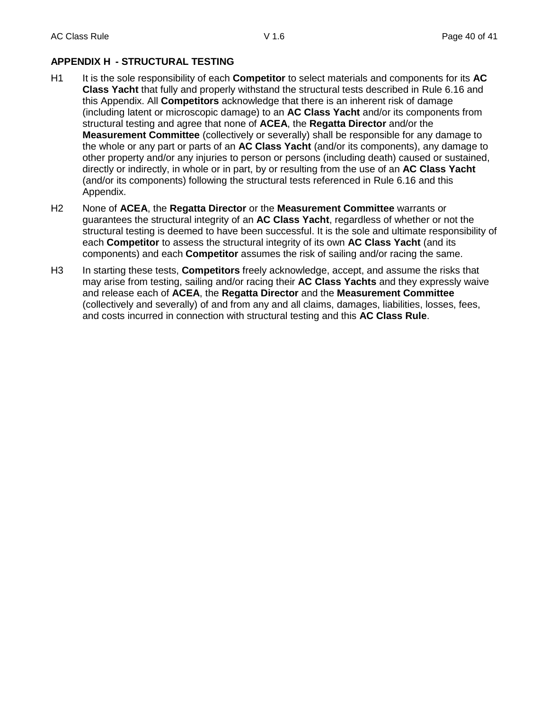## **APPENDIX H - STRUCTURAL TESTING**

- H1 It is the sole responsibility of each **Competitor** to select materials and components for its **AC Class Yacht** that fully and properly withstand the structural tests described in Rule 6.16 and this Appendix. All **Competitors** acknowledge that there is an inherent risk of damage (including latent or microscopic damage) to an **AC Class Yacht** and/or its components from structural testing and agree that none of **ACEA**, the **Regatta Director** and/or the **Measurement Committee** (collectively or severally) shall be responsible for any damage to the whole or any part or parts of an **AC Class Yacht** (and/or its components), any damage to other property and/or any injuries to person or persons (including death) caused or sustained, directly or indirectly, in whole or in part, by or resulting from the use of an **AC Class Yacht** (and/or its components) following the structural tests referenced in Rule 6.16 and this Appendix.
- H2 None of **ACEA**, the **Regatta Director** or the **Measurement Committee** warrants or guarantees the structural integrity of an **AC Class Yacht**, regardless of whether or not the structural testing is deemed to have been successful. It is the sole and ultimate responsibility of each **Competitor** to assess the structural integrity of its own **AC Class Yacht** (and its components) and each **Competitor** assumes the risk of sailing and/or racing the same.
- H3 In starting these tests, **Competitors** freely acknowledge, accept, and assume the risks that may arise from testing, sailing and/or racing their **AC Class Yachts** and they expressly waive and release each of **ACEA**, the **Regatta Director** and the **Measurement Committee** (collectively and severally) of and from any and all claims, damages, liabilities, losses, fees, and costs incurred in connection with structural testing and this **AC Class Rule**.